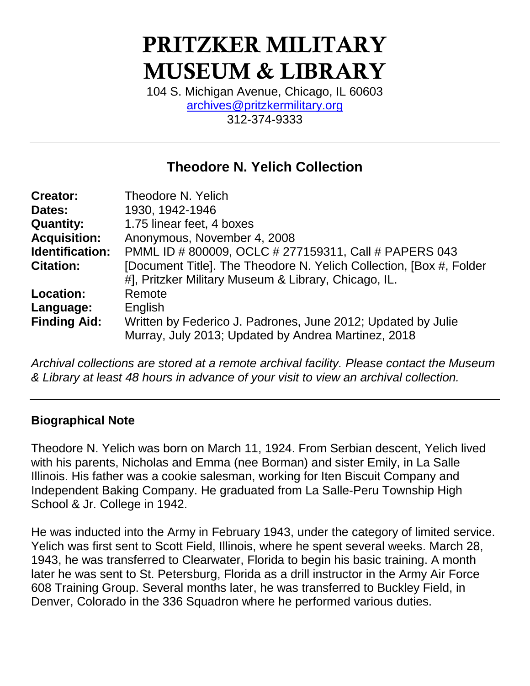# PRITZKER MILITARY MUSEUM & LIBRARY

104 S. Michigan Avenue, Chicago, IL 60603 [archives@pritzkermilitary.org](mailto:archives@pritzkermilitary.org) 312-374-9333

### **Theodore N. Yelich Collection**

| <b>Creator:</b>        | Theodore N. Yelich                                                   |
|------------------------|----------------------------------------------------------------------|
| Dates:                 | 1930, 1942-1946                                                      |
| <b>Quantity:</b>       | 1.75 linear feet, 4 boxes                                            |
| <b>Acquisition:</b>    | Anonymous, November 4, 2008                                          |
| <b>Identification:</b> | PMML ID # 800009, OCLC # 277159311, Call # PAPERS 043                |
| <b>Citation:</b>       | [Document Title]. The Theodore N. Yelich Collection, [Box #, Folder] |
|                        | #], Pritzker Military Museum & Library, Chicago, IL.                 |
| Location:              | Remote                                                               |
| Language:              | English                                                              |
| <b>Finding Aid:</b>    | Written by Federico J. Padrones, June 2012; Updated by Julie         |
|                        | Murray, July 2013; Updated by Andrea Martinez, 2018                  |

*Archival collections are stored at a remote archival facility. Please contact the Museum & Library at least 48 hours in advance of your visit to view an archival collection.*

#### **Biographical Note**

Theodore N. Yelich was born on March 11, 1924. From Serbian descent, Yelich lived with his parents, Nicholas and Emma (nee Borman) and sister Emily, in La Salle Illinois. His father was a cookie salesman, working for Iten Biscuit Company and Independent Baking Company. He graduated from La Salle-Peru Township High School & Jr. College in 1942.

He was inducted into the Army in February 1943, under the category of limited service. Yelich was first sent to Scott Field, Illinois, where he spent several weeks. March 28, 1943, he was transferred to Clearwater, Florida to begin his basic training. A month later he was sent to St. Petersburg, Florida as a drill instructor in the Army Air Force 608 Training Group. Several months later, he was transferred to Buckley Field, in Denver, Colorado in the 336 Squadron where he performed various duties.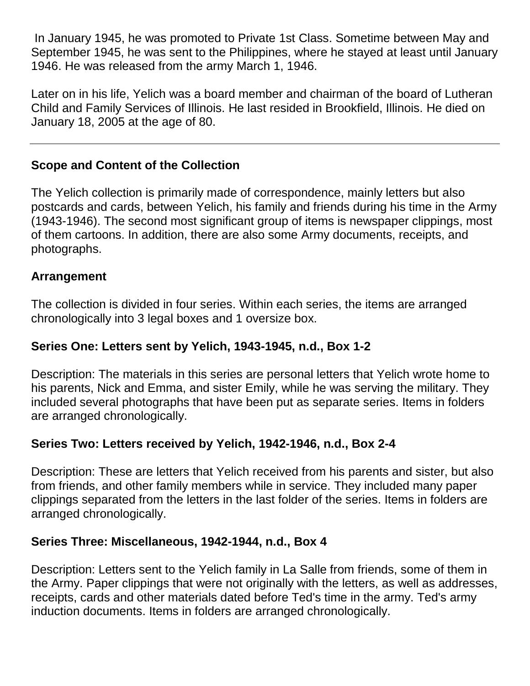In January 1945, he was promoted to Private 1st Class. Sometime between May and September 1945, he was sent to the Philippines, where he stayed at least until January 1946. He was released from the army March 1, 1946.

Later on in his life, Yelich was a board member and chairman of the board of Lutheran Child and Family Services of Illinois. He last resided in Brookfield, Illinois. He died on January 18, 2005 at the age of 80.

#### **Scope and Content of the Collection**

The Yelich collection is primarily made of correspondence, mainly letters but also postcards and cards, between Yelich, his family and friends during his time in the Army (1943-1946). The second most significant group of items is newspaper clippings, most of them cartoons. In addition, there are also some Army documents, receipts, and photographs.

#### **Arrangement**

The collection is divided in four series. Within each series, the items are arranged chronologically into 3 legal boxes and 1 oversize box.

#### **Series One: Letters sent by Yelich, 1943-1945, n.d., Box 1-2**

Description: The materials in this series are personal letters that Yelich wrote home to his parents, Nick and Emma, and sister Emily, while he was serving the military. They included several photographs that have been put as separate series. Items in folders are arranged chronologically.

#### **Series Two: Letters received by Yelich, 1942-1946, n.d., Box 2-4**

Description: These are letters that Yelich received from his parents and sister, but also from friends, and other family members while in service. They included many paper clippings separated from the letters in the last folder of the series. Items in folders are arranged chronologically.

#### **Series Three: Miscellaneous, 1942-1944, n.d., Box 4**

Description: Letters sent to the Yelich family in La Salle from friends, some of them in the Army. Paper clippings that were not originally with the letters, as well as addresses, receipts, cards and other materials dated before Ted's time in the army. Ted's army induction documents. Items in folders are arranged chronologically.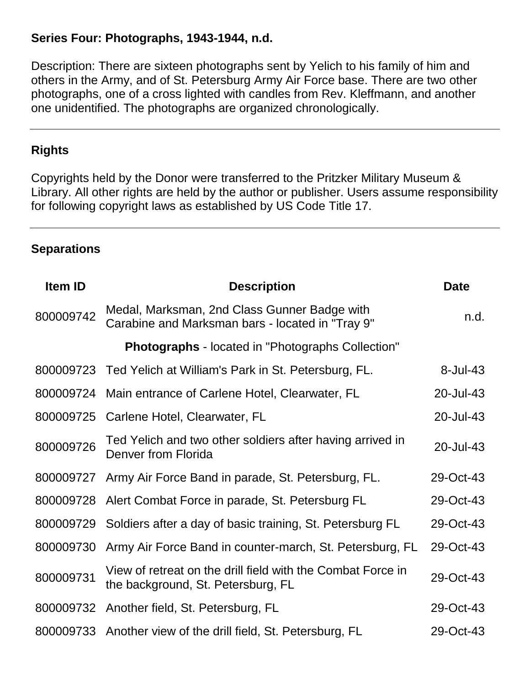#### **Series Four: Photographs, 1943-1944, n.d.**

Description: There are sixteen photographs sent by Yelich to his family of him and others in the Army, and of St. Petersburg Army Air Force base. There are two other photographs, one of a cross lighted with candles from Rev. Kleffmann, and another one unidentified. The photographs are organized chronologically.

#### **Rights**

Copyrights held by the Donor were transferred to the Pritzker Military Museum & Library. All other rights are held by the author or publisher. Users assume responsibility for following copyright laws as established by US Code Title 17.

#### **Separations**

| Item ID   | <b>Description</b>                                                                                | <b>Date</b> |
|-----------|---------------------------------------------------------------------------------------------------|-------------|
| 800009742 | Medal, Marksman, 2nd Class Gunner Badge with<br>Carabine and Marksman bars - located in "Tray 9"  | n.d.        |
|           | <b>Photographs</b> - located in "Photographs Collection"                                          |             |
|           | 800009723 Ted Yelich at William's Park in St. Petersburg, FL.                                     | $8$ -Jul-43 |
| 800009724 | Main entrance of Carlene Hotel, Clearwater, FL                                                    | 20-Jul-43   |
| 800009725 | Carlene Hotel, Clearwater, FL                                                                     | 20-Jul-43   |
| 800009726 | Ted Yelich and two other soldiers after having arrived in<br>Denver from Florida                  | 20-Jul-43   |
| 800009727 | Army Air Force Band in parade, St. Petersburg, FL.                                                | 29-Oct-43   |
|           | 800009728 Alert Combat Force in parade, St. Petersburg FL                                         | 29-Oct-43   |
| 800009729 | Soldiers after a day of basic training, St. Petersburg FL                                         | 29-Oct-43   |
| 800009730 | Army Air Force Band in counter-march, St. Petersburg, FL                                          | 29-Oct-43   |
| 800009731 | View of retreat on the drill field with the Combat Force in<br>the background, St. Petersburg, FL | 29-Oct-43   |
| 800009732 | Another field, St. Petersburg, FL                                                                 | 29-Oct-43   |
| 800009733 | Another view of the drill field, St. Petersburg, FL                                               | 29-Oct-43   |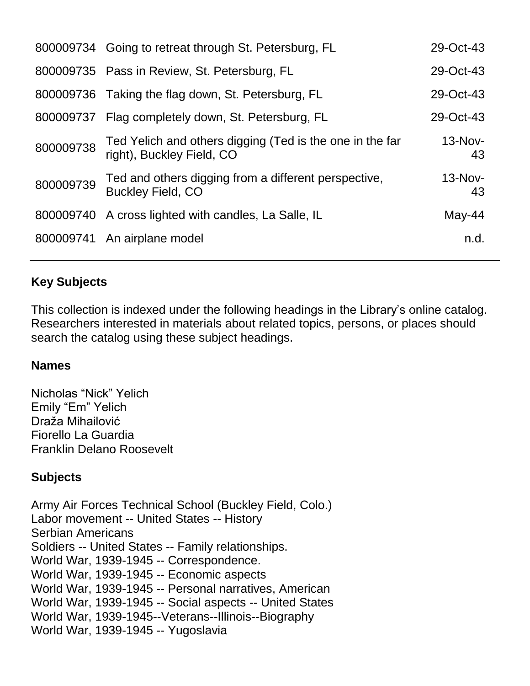|           | 800009734 Going to retreat through St. Petersburg, FL                                 | 29-Oct-43       |
|-----------|---------------------------------------------------------------------------------------|-----------------|
|           | 800009735 Pass in Review, St. Petersburg, FL                                          | 29-Oct-43       |
|           | 800009736 Taking the flag down, St. Petersburg, FL                                    | 29-Oct-43       |
|           | 800009737 Flag completely down, St. Petersburg, FL                                    | 29-Oct-43       |
| 800009738 | Ted Yelich and others digging (Ted is the one in the far<br>right), Buckley Field, CO | $13-Nov-$<br>43 |
| 800009739 | Ted and others digging from a different perspective,<br><b>Buckley Field, CO</b>      | $13-Nov-$<br>43 |
|           | 800009740 A cross lighted with candles, La Salle, IL                                  | May-44          |
|           | 800009741 An airplane model                                                           | n.d.            |

#### **Key Subjects**

This collection is indexed under the following headings in the Library's online catalog. Researchers interested in materials about related topics, persons, or places should search the catalog using these subject headings.

#### **Names**

Nicholas "Nick" Yelich Emily "Em" Yelich Draža Mihailović Fiorello La Guardia Franklin Delano Roosevelt

#### **Subjects**

Army Air Forces Technical School (Buckley Field, Colo.) Labor movement -- United States -- History Serbian Americans Soldiers -- United States -- Family relationships. World War, 1939-1945 -- Correspondence. World War, 1939-1945 -- Economic aspects World War, 1939-1945 -- Personal narratives, American World War, 1939-1945 -- Social aspects -- United States World War, 1939-1945--Veterans--Illinois--Biography World War, 1939-1945 -- Yugoslavia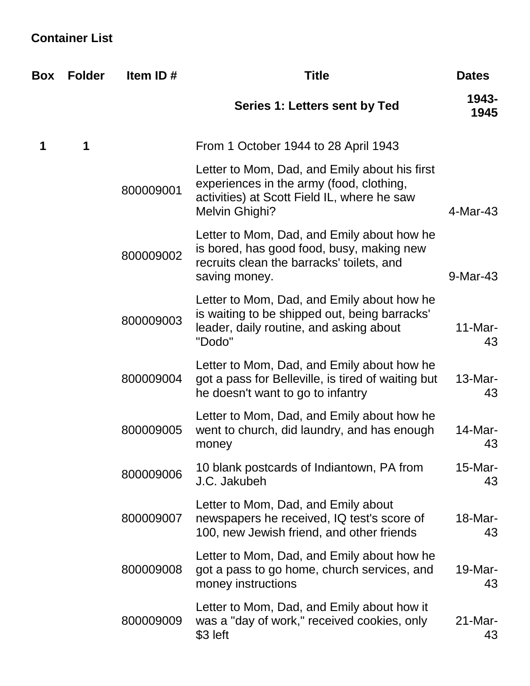# **Container List**

| <b>Box</b> | <b>Folder</b> | Item ID#  | <b>Title</b>                                                                                                                                               | <b>Dates</b>     |
|------------|---------------|-----------|------------------------------------------------------------------------------------------------------------------------------------------------------------|------------------|
|            |               |           | Series 1: Letters sent by Ted                                                                                                                              | 1943-<br>1945    |
|            | 1             |           | From 1 October 1944 to 28 April 1943                                                                                                                       |                  |
|            |               | 800009001 | Letter to Mom, Dad, and Emily about his first<br>experiences in the army (food, clothing,<br>activities) at Scott Field IL, where he saw<br>Melvin Ghighi? | 4-Mar-43         |
|            |               | 800009002 | Letter to Mom, Dad, and Emily about how he<br>is bored, has good food, busy, making new<br>recruits clean the barracks' toilets, and<br>saving money.      | 9-Mar-43         |
|            |               | 800009003 | Letter to Mom, Dad, and Emily about how he<br>is waiting to be shipped out, being barracks'<br>leader, daily routine, and asking about<br>"Dodo"           | $11$ -Mar-<br>43 |
|            |               | 800009004 | Letter to Mom, Dad, and Emily about how he<br>got a pass for Belleville, is tired of waiting but<br>he doesn't want to go to infantry                      | $13-Mar-$<br>43  |
|            |               | 800009005 | Letter to Mom, Dad, and Emily about how he<br>went to church, did laundry, and has enough<br>money                                                         | 14-Mar-<br>43    |
|            |               | 800009006 | 10 blank postcards of Indiantown, PA from<br>J.C. Jakubeh                                                                                                  | $15$ -Mar-<br>43 |
|            |               | 800009007 | Letter to Mom, Dad, and Emily about<br>newspapers he received, IQ test's score of<br>100, new Jewish friend, and other friends                             | 18-Mar-<br>43    |
|            |               | 800009008 | Letter to Mom, Dad, and Emily about how he<br>got a pass to go home, church services, and<br>money instructions                                            | 19-Mar-<br>43    |
|            |               | 800009009 | Letter to Mom, Dad, and Emily about how it<br>was a "day of work," received cookies, only<br>\$3 left                                                      | $21$ -Mar-<br>43 |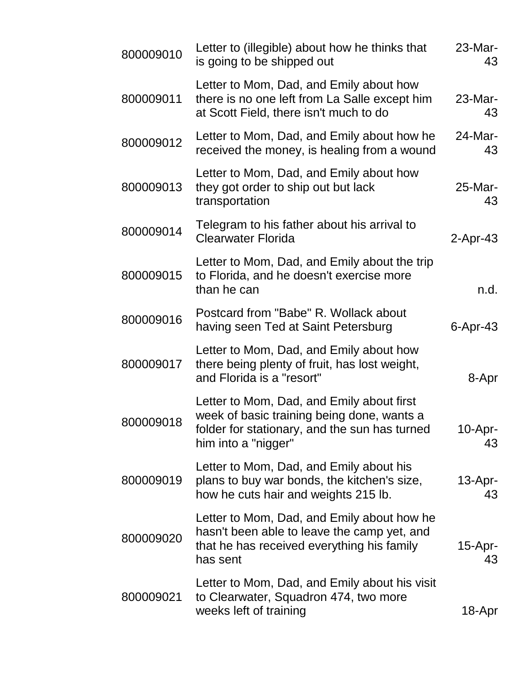| 800009010 | Letter to (illegible) about how he thinks that<br>is going to be shipped out                                                                                    | 23-Mar-<br>43    |
|-----------|-----------------------------------------------------------------------------------------------------------------------------------------------------------------|------------------|
| 800009011 | Letter to Mom, Dad, and Emily about how<br>there is no one left from La Salle except him<br>at Scott Field, there isn't much to do                              | 23-Mar-<br>43    |
| 800009012 | Letter to Mom, Dad, and Emily about how he<br>received the money, is healing from a wound                                                                       | 24-Mar-<br>43    |
| 800009013 | Letter to Mom, Dad, and Emily about how<br>they got order to ship out but lack<br>transportation                                                                | 25-Mar-<br>43    |
| 800009014 | Telegram to his father about his arrival to<br><b>Clearwater Florida</b>                                                                                        | $2$ -Apr-43      |
| 800009015 | Letter to Mom, Dad, and Emily about the trip<br>to Florida, and he doesn't exercise more<br>than he can                                                         | n.d.             |
| 800009016 | Postcard from "Babe" R. Wollack about<br>having seen Ted at Saint Petersburg                                                                                    | 6-Apr-43         |
| 800009017 | Letter to Mom, Dad, and Emily about how<br>there being plenty of fruit, has lost weight,<br>and Florida is a "resort"                                           | 8-Apr            |
| 800009018 | Letter to Mom, Dad, and Emily about first<br>week of basic training being done, wants a<br>folder for stationary, and the sun has turned<br>him into a "nigger" | 10-Apr-<br>43    |
| 800009019 | Letter to Mom, Dad, and Emily about his<br>plans to buy war bonds, the kitchen's size,<br>how he cuts hair and weights 215 lb.                                  | $13$ -Apr-<br>43 |
| 800009020 | Letter to Mom, Dad, and Emily about how he<br>hasn't been able to leave the camp yet, and<br>that he has received everything his family<br>has sent             | $15$ -Apr-<br>43 |
| 800009021 | Letter to Mom, Dad, and Emily about his visit<br>to Clearwater, Squadron 474, two more<br>weeks left of training                                                | 18-Apr           |
|           |                                                                                                                                                                 |                  |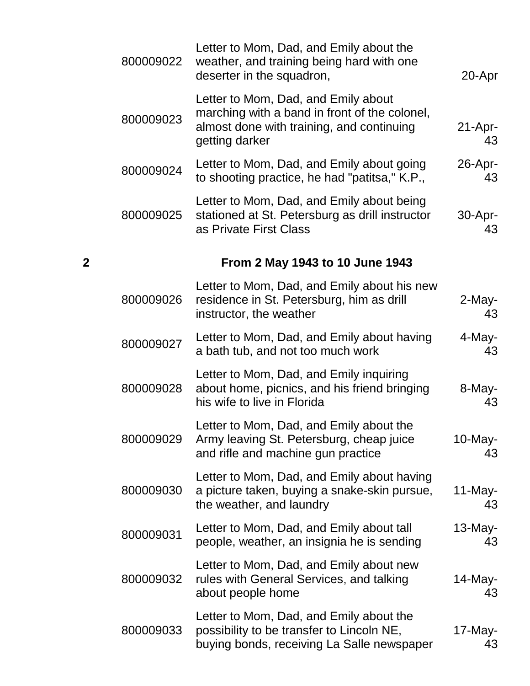|   | 800009022 | Letter to Mom, Dad, and Emily about the<br>weather, and training being hard with one<br>deserter in the squadron,                                   | 20-Apr           |
|---|-----------|-----------------------------------------------------------------------------------------------------------------------------------------------------|------------------|
|   | 800009023 | Letter to Mom, Dad, and Emily about<br>marching with a band in front of the colonel,<br>almost done with training, and continuing<br>getting darker | $21-Apr-$<br>43  |
|   | 800009024 | Letter to Mom, Dad, and Emily about going<br>to shooting practice, he had "patitsa," K.P.,                                                          | $26$ -Apr-<br>43 |
|   | 800009025 | Letter to Mom, Dad, and Emily about being<br>stationed at St. Petersburg as drill instructor<br>as Private First Class                              | $30-Apr-$<br>43  |
| 2 |           | From 2 May 1943 to 10 June 1943                                                                                                                     |                  |
|   | 800009026 | Letter to Mom, Dad, and Emily about his new<br>residence in St. Petersburg, him as drill<br>instructor, the weather                                 | 2-May-<br>43     |
|   | 800009027 | Letter to Mom, Dad, and Emily about having<br>a bath tub, and not too much work                                                                     | 4-May-<br>43     |
|   | 800009028 | Letter to Mom, Dad, and Emily inquiring<br>about home, picnics, and his friend bringing<br>his wife to live in Florida                              | 8-May-<br>43     |
|   | 800009029 | Letter to Mom, Dad, and Emily about the<br>Army leaving St. Petersburg, cheap juice<br>and rifle and machine gun practice                           | $10$ -May-<br>43 |
|   | 800009030 | Letter to Mom, Dad, and Emily about having<br>a picture taken, buying a snake-skin pursue,<br>the weather, and laundry                              | 11-May-<br>43    |
|   | 800009031 | Letter to Mom, Dad, and Emily about tall<br>people, weather, an insignia he is sending                                                              | 13-May-<br>43    |
|   | 800009032 | Letter to Mom, Dad, and Emily about new<br>rules with General Services, and talking<br>about people home                                            | 14-May-<br>43    |
|   | 800009033 | Letter to Mom, Dad, and Emily about the<br>possibility to be transfer to Lincoln NE,<br>buying bonds, receiving La Salle newspaper                  | 17-May-<br>43    |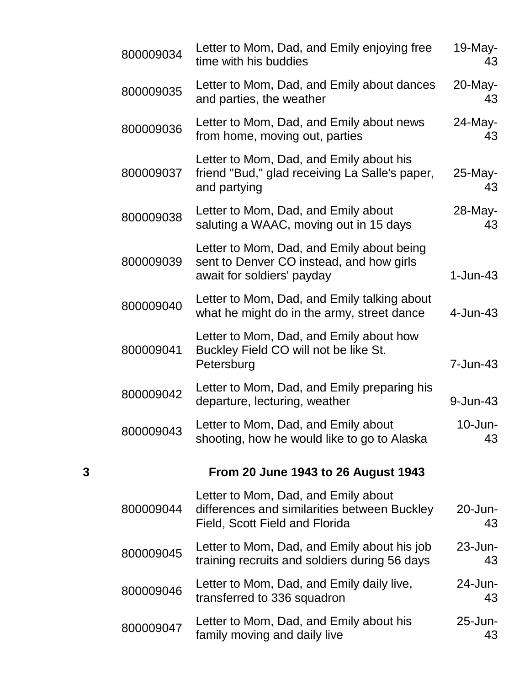|   | 800009034 | Letter to Mom, Dad, and Emily enjoying free<br>time with his buddies                                                  | 19-May-<br>43    |
|---|-----------|-----------------------------------------------------------------------------------------------------------------------|------------------|
|   | 800009035 | Letter to Mom, Dad, and Emily about dances<br>and parties, the weather                                                | $20$ -May-<br>43 |
|   | 800009036 | Letter to Mom, Dad, and Emily about news<br>from home, moving out, parties                                            | 24-May-<br>43    |
|   | 800009037 | Letter to Mom, Dad, and Emily about his<br>friend "Bud," glad receiving La Salle's paper,<br>and partying             | 25-May-<br>43    |
|   | 800009038 | Letter to Mom, Dad, and Emily about<br>saluting a WAAC, moving out in 15 days                                         | 28-May-<br>43    |
|   | 800009039 | Letter to Mom, Dad, and Emily about being<br>sent to Denver CO instead, and how girls<br>await for soldiers' payday   | $1-Jun-43$       |
|   | 800009040 | Letter to Mom, Dad, and Emily talking about<br>what he might do in the army, street dance                             | 4-Jun-43         |
|   | 800009041 | Letter to Mom, Dad, and Emily about how<br>Buckley Field CO will not be like St.<br>Petersburg                        | 7-Jun-43         |
|   | 800009042 | Letter to Mom, Dad, and Emily preparing his<br>departure, lecturing, weather                                          | 9-Jun-43         |
|   | 800009043 | Letter to Mom, Dad, and Emily about<br>shooting, how he would like to go to Alaska                                    | $10$ -Jun-<br>43 |
| 3 |           | <b>From 20 June 1943 to 26 August 1943</b>                                                                            |                  |
|   | 800009044 | Letter to Mom, Dad, and Emily about<br>differences and similarities between Buckley<br>Field, Scott Field and Florida | 20-Jun-<br>43    |
|   | 800009045 | Letter to Mom, Dad, and Emily about his job<br>training recruits and soldiers during 56 days                          | $23$ -Jun-<br>43 |
|   | 800009046 | Letter to Mom, Dad, and Emily daily live,<br>transferred to 336 squadron                                              | 24-Jun-<br>43    |
|   | 800009047 | Letter to Mom, Dad, and Emily about his<br>family moving and daily live                                               | 25-Jun-<br>43    |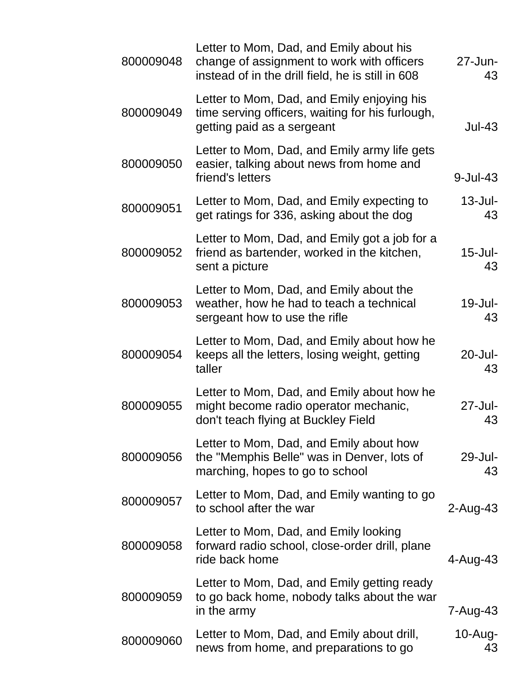| 800009048 | Letter to Mom, Dad, and Emily about his<br>change of assignment to work with officers<br>instead of in the drill field, he is still in 608 | $27 - Jun -$<br>43 |
|-----------|--------------------------------------------------------------------------------------------------------------------------------------------|--------------------|
| 800009049 | Letter to Mom, Dad, and Emily enjoying his<br>time serving officers, waiting for his furlough,<br>getting paid as a sergeant               | $Jul-43$           |
| 800009050 | Letter to Mom, Dad, and Emily army life gets<br>easier, talking about news from home and<br>friend's letters                               | $9$ -Jul-43        |
| 800009051 | Letter to Mom, Dad, and Emily expecting to<br>get ratings for 336, asking about the dog                                                    | $13$ -Jul-<br>43   |
| 800009052 | Letter to Mom, Dad, and Emily got a job for a<br>friend as bartender, worked in the kitchen,<br>sent a picture                             | $15$ -Jul-<br>43   |
| 800009053 | Letter to Mom, Dad, and Emily about the<br>weather, how he had to teach a technical<br>sergeant how to use the rifle                       | $19$ -Jul-<br>43   |
| 800009054 | Letter to Mom, Dad, and Emily about how he<br>keeps all the letters, losing weight, getting<br>taller                                      | $20 -$ Jul-<br>43  |
| 800009055 | Letter to Mom, Dad, and Emily about how he<br>might become radio operator mechanic,<br>don't teach flying at Buckley Field                 | $27 -$ Jul-<br>43  |
| 800009056 | Letter to Mom, Dad, and Emily about how<br>the "Memphis Belle" was in Denver, lots of<br>marching, hopes to go to school                   | 29-Jul-<br>43      |
| 800009057 | Letter to Mom, Dad, and Emily wanting to go<br>to school after the war                                                                     | $2$ -Aug-43        |
| 800009058 | Letter to Mom, Dad, and Emily looking<br>forward radio school, close-order drill, plane<br>ride back home                                  | 4-Aug-43           |
| 800009059 | Letter to Mom, Dad, and Emily getting ready<br>to go back home, nobody talks about the war<br>in the army                                  | 7-Aug-43           |
| 800009060 | Letter to Mom, Dad, and Emily about drill,<br>news from home, and preparations to go                                                       | $10$ -Aug-<br>43   |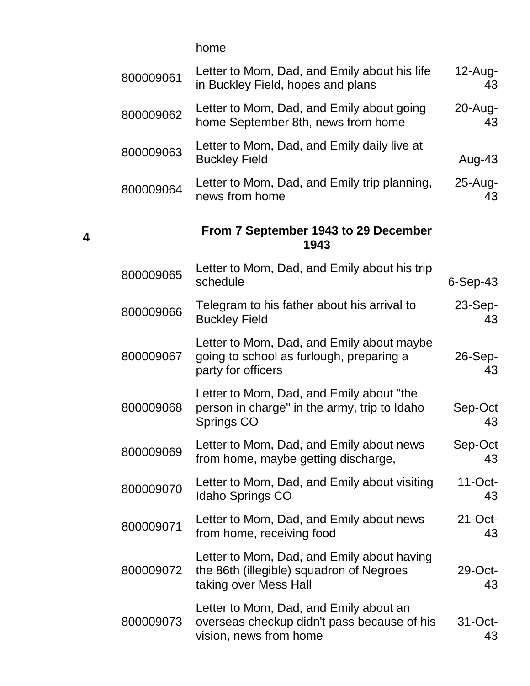home

| 800009061 | Letter to Mom, Dad, and Emily about his life<br>in Buckley Field, hopes and plans                               | $12$ -Aug-<br>43 |
|-----------|-----------------------------------------------------------------------------------------------------------------|------------------|
| 800009062 | Letter to Mom, Dad, and Emily about going<br>home September 8th, news from home                                 | 20-Aug-<br>43    |
| 800009063 | Letter to Mom, Dad, and Emily daily live at<br><b>Buckley Field</b>                                             | Aug-43           |
| 800009064 | Letter to Mom, Dad, and Emily trip planning,<br>news from home                                                  | $25$ -Aug-<br>43 |
|           | From 7 September 1943 to 29 December<br>1943                                                                    |                  |
| 800009065 | Letter to Mom, Dad, and Emily about his trip<br>schedule                                                        | $6-Sep-43$       |
| 800009066 | Telegram to his father about his arrival to<br><b>Buckley Field</b>                                             | $23-Sep-$<br>43  |
| 800009067 | Letter to Mom, Dad, and Emily about maybe<br>going to school as furlough, preparing a<br>party for officers     | 26-Sep-<br>43    |
| 800009068 | Letter to Mom, Dad, and Emily about "the<br>person in charge" in the army, trip to Idaho<br>Springs CO          | Sep-Oct<br>43    |
| 800009069 | Letter to Mom, Dad, and Emily about news<br>from home, maybe getting discharge,                                 | Sep-Oct<br>43    |
| 800009070 | Letter to Mom, Dad, and Emily about visiting<br><b>Idaho Springs CO</b>                                         | $11$ -Oct-<br>43 |
| 800009071 | Letter to Mom, Dad, and Emily about news<br>from home, receiving food                                           | $21$ -Oct-<br>43 |
| 800009072 | Letter to Mom, Dad, and Emily about having<br>the 86th (illegible) squadron of Negroes<br>taking over Mess Hall | 29-Oct-<br>43    |
| 800009073 | Letter to Mom, Dad, and Emily about an<br>overseas checkup didn't pass because of his<br>vision, news from home | 31-Oct-<br>43    |

**4**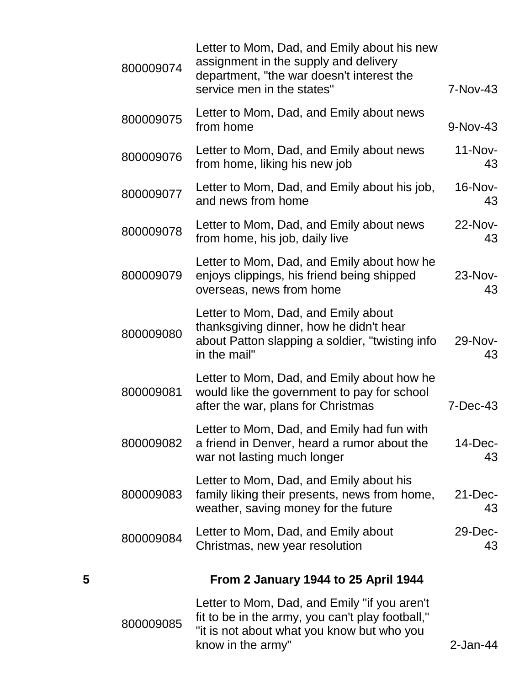|   | 800009074 | Letter to Mom, Dad, and Emily about his new<br>assignment in the supply and delivery<br>department, "the war doesn't interest the<br>service men in the states"     | 7-Nov-43          |
|---|-----------|---------------------------------------------------------------------------------------------------------------------------------------------------------------------|-------------------|
|   | 800009075 | Letter to Mom, Dad, and Emily about news<br>from home                                                                                                               | 9-Nov-43          |
|   | 800009076 | Letter to Mom, Dad, and Emily about news<br>from home, liking his new job                                                                                           | $11-Nov-$<br>43   |
|   | 800009077 | Letter to Mom, Dad, and Emily about his job,<br>and news from home                                                                                                  | 16-Nov-<br>43     |
|   | 800009078 | Letter to Mom, Dad, and Emily about news<br>from home, his job, daily live                                                                                          | 22-Nov-<br>43     |
|   | 800009079 | Letter to Mom, Dad, and Emily about how he<br>enjoys clippings, his friend being shipped<br>overseas, news from home                                                | 23-Nov-<br>43     |
|   | 800009080 | Letter to Mom, Dad, and Emily about<br>thanksgiving dinner, how he didn't hear<br>about Patton slapping a soldier, "twisting info<br>in the mail"                   | 29-Nov-<br>43     |
|   | 800009081 | Letter to Mom, Dad, and Emily about how he<br>would like the government to pay for school<br>after the war, plans for Christmas                                     | 7-Dec-43          |
|   | 800009082 | Letter to Mom, Dad, and Emily had fun with<br>a friend in Denver, heard a rumor about the<br>war not lasting much longer                                            | $14$ -Dec-<br>43  |
|   | 800009083 | Letter to Mom, Dad, and Emily about his<br>family liking their presents, news from home,<br>weather, saving money for the future                                    | $21 - Dec-$<br>43 |
|   | 800009084 | Letter to Mom, Dad, and Emily about<br>Christmas, new year resolution                                                                                               | $29$ -Dec-<br>43  |
| 5 |           | From 2 January 1944 to 25 April 1944                                                                                                                                |                   |
|   | 800009085 | Letter to Mom, Dad, and Emily "if you aren't<br>fit to be in the army, you can't play football,"<br>"it is not about what you know but who you<br>know in the army" | $2$ -Jan-44       |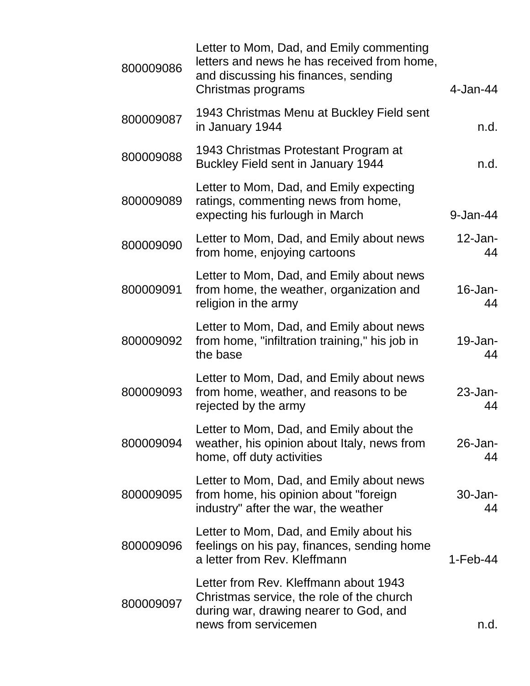| 800009086 | Letter to Mom, Dad, and Emily commenting<br>letters and news he has received from home,<br>and discussing his finances, sending<br>Christmas programs | 4-Jan-44          |
|-----------|-------------------------------------------------------------------------------------------------------------------------------------------------------|-------------------|
| 800009087 | 1943 Christmas Menu at Buckley Field sent<br>in January 1944                                                                                          | n.d.              |
| 800009088 | 1943 Christmas Protestant Program at<br>Buckley Field sent in January 1944                                                                            | n.d.              |
| 800009089 | Letter to Mom, Dad, and Emily expecting<br>ratings, commenting news from home,<br>expecting his furlough in March                                     | 9-Jan-44          |
| 800009090 | Letter to Mom, Dad, and Emily about news<br>from home, enjoying cartoons                                                                              | $12$ -Jan-<br>44  |
| 800009091 | Letter to Mom, Dad, and Emily about news<br>from home, the weather, organization and<br>religion in the army                                          | $16$ -Jan-<br>44  |
| 800009092 | Letter to Mom, Dad, and Emily about news<br>from home, "infiltration training," his job in<br>the base                                                | 19-Jan-<br>44     |
| 800009093 | Letter to Mom, Dad, and Emily about news<br>from home, weather, and reasons to be<br>rejected by the army                                             | $23$ -Jan-<br>44  |
| 800009094 | Letter to Mom, Dad, and Emily about the<br>weather, his opinion about Italy, news from<br>home, off duty activities                                   | $26$ -Jan-<br>44  |
| 800009095 | Letter to Mom, Dad, and Emily about news<br>from home, his opinion about "foreign"<br>industry" after the war, the weather                            | $30 - Jan-$<br>44 |
| 800009096 | Letter to Mom, Dad, and Emily about his<br>feelings on his pay, finances, sending home<br>a letter from Rev. Kleffmann                                | $1-Feb-44$        |
| 800009097 | Letter from Rev. Kleffmann about 1943<br>Christmas service, the role of the church<br>during war, drawing nearer to God, and<br>news from servicemen  | n.d.              |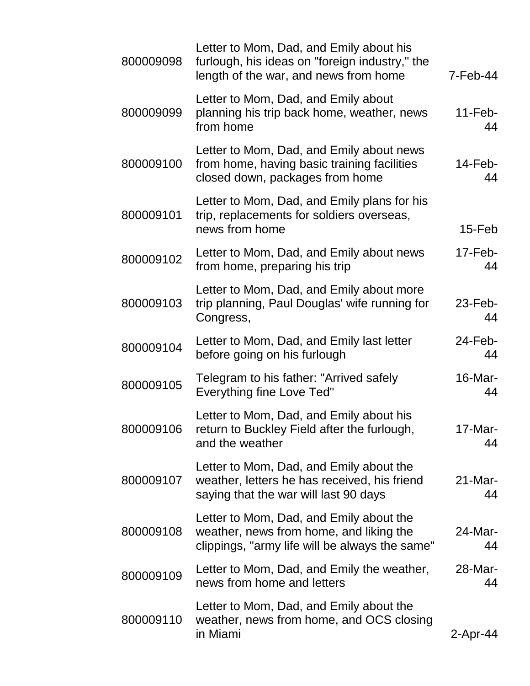| $7-Feb-44$       | Letter to Mom, Dad, and Emily about his<br>furlough, his ideas on "foreign industry," the<br>length of the war, and news from home   | 800009098 |
|------------------|--------------------------------------------------------------------------------------------------------------------------------------|-----------|
| $11$ -Feb-<br>44 | Letter to Mom, Dad, and Emily about<br>planning his trip back home, weather, news<br>from home                                       | 800009099 |
| $14$ -Feb-<br>44 | Letter to Mom, Dad, and Emily about news<br>from home, having basic training facilities<br>closed down, packages from home           | 800009100 |
| $15$ -Feb        | Letter to Mom, Dad, and Emily plans for his<br>trip, replacements for soldiers overseas,<br>news from home                           | 800009101 |
| $17$ -Feb-<br>44 | Letter to Mom, Dad, and Emily about news<br>from home, preparing his trip                                                            | 800009102 |
| $23$ -Feb-<br>44 | Letter to Mom, Dad, and Emily about more<br>trip planning, Paul Douglas' wife running for<br>Congress,                               | 800009103 |
| 24-Feb-<br>44    | Letter to Mom, Dad, and Emily last letter<br>before going on his furlough                                                            | 800009104 |
| 16-Mar-<br>44    | Telegram to his father: "Arrived safely<br><b>Everything fine Love Ted"</b>                                                          | 800009105 |
| 17-Mar-<br>44    | Letter to Mom, Dad, and Emily about his<br>return to Buckley Field after the furlough,<br>and the weather                            | 800009106 |
| $21$ -Mar-<br>44 | Letter to Mom, Dad, and Emily about the<br>weather, letters he has received, his friend<br>saying that the war will last 90 days     | 800009107 |
| 24-Mar-<br>44    | Letter to Mom, Dad, and Emily about the<br>weather, news from home, and liking the<br>clippings, "army life will be always the same" | 800009108 |
| 28-Mar-<br>44    | Letter to Mom, Dad, and Emily the weather,<br>news from home and letters                                                             | 800009109 |
| 2-Apr-44         | Letter to Mom, Dad, and Emily about the<br>weather, news from home, and OCS closing<br>in Miami                                      | 800009110 |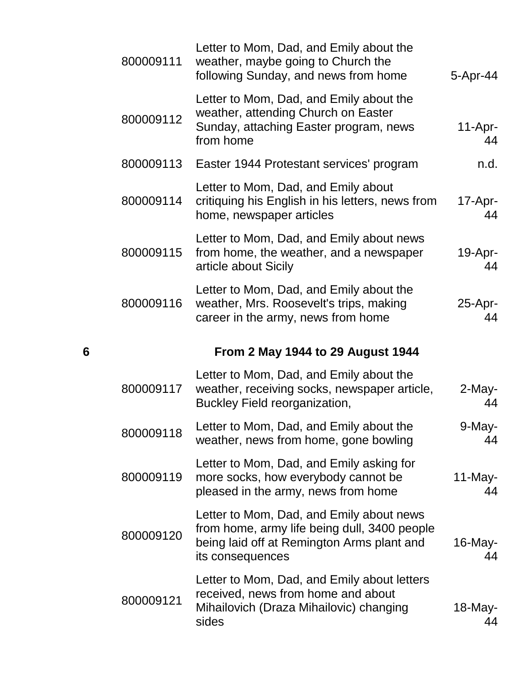|   | 800009111 | Letter to Mom, Dad, and Emily about the<br>weather, maybe going to Church the<br>following Sunday, and news from home                                      | 5-Apr-44         |
|---|-----------|------------------------------------------------------------------------------------------------------------------------------------------------------------|------------------|
|   | 800009112 | Letter to Mom, Dad, and Emily about the<br>weather, attending Church on Easter<br>Sunday, attaching Easter program, news<br>from home                      | $11-Apr-$<br>44  |
|   | 800009113 | Easter 1944 Protestant services' program                                                                                                                   | n.d.             |
|   | 800009114 | Letter to Mom, Dad, and Emily about<br>critiquing his English in his letters, news from<br>home, newspaper articles                                        | 17-Apr-<br>44    |
|   | 800009115 | Letter to Mom, Dad, and Emily about news<br>from home, the weather, and a newspaper<br>article about Sicily                                                | 19-Apr-<br>44    |
|   | 800009116 | Letter to Mom, Dad, and Emily about the<br>weather, Mrs. Roosevelt's trips, making<br>career in the army, news from home                                   | 25-Apr-<br>44    |
|   |           |                                                                                                                                                            |                  |
| 6 |           | <b>From 2 May 1944 to 29 August 1944</b>                                                                                                                   |                  |
|   | 800009117 | Letter to Mom, Dad, and Emily about the<br>weather, receiving socks, newspaper article,<br>Buckley Field reorganization,                                   | 2-May-<br>44     |
|   | 800009118 | Letter to Mom, Dad, and Emily about the<br>weather, news from home, gone bowling                                                                           | 9-May-<br>44     |
|   | 800009119 | Letter to Mom, Dad, and Emily asking for<br>more socks, how everybody cannot be<br>pleased in the army, news from home                                     | $11$ -May-<br>44 |
|   | 800009120 | Letter to Mom, Dad, and Emily about news<br>from home, army life being dull, 3400 people<br>being laid off at Remington Arms plant and<br>its consequences | $16$ -May-<br>44 |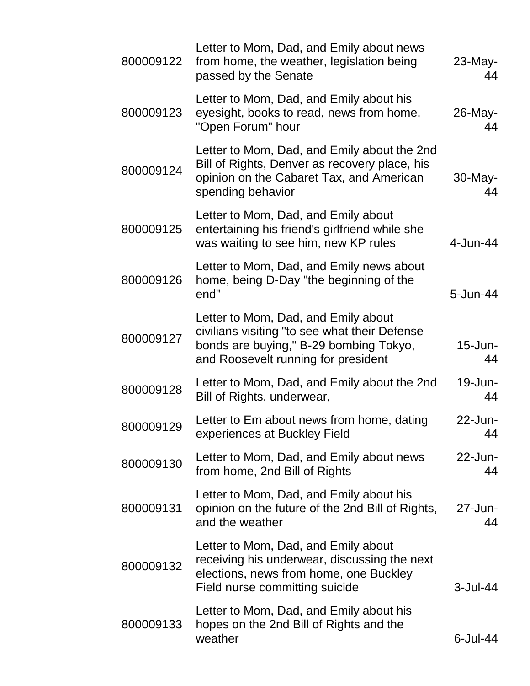| 800009122 | Letter to Mom, Dad, and Emily about news<br>from home, the weather, legislation being<br>passed by the Senate                                                         | $23$ -May-<br>44 |
|-----------|-----------------------------------------------------------------------------------------------------------------------------------------------------------------------|------------------|
| 800009123 | Letter to Mom, Dad, and Emily about his<br>eyesight, books to read, news from home,<br>"Open Forum" hour                                                              | 26-May-<br>44    |
| 800009124 | Letter to Mom, Dad, and Emily about the 2nd<br>Bill of Rights, Denver as recovery place, his<br>opinion on the Cabaret Tax, and American<br>spending behavior         | 30-May-<br>44    |
| 800009125 | Letter to Mom, Dad, and Emily about<br>entertaining his friend's girlfriend while she<br>was waiting to see him, new KP rules                                         | $4$ -Jun-44      |
| 800009126 | Letter to Mom, Dad, and Emily news about<br>home, being D-Day "the beginning of the<br>end"                                                                           | 5-Jun-44         |
| 800009127 | Letter to Mom, Dad, and Emily about<br>civilians visiting "to see what their Defense<br>bonds are buying," B-29 bombing Tokyo,<br>and Roosevelt running for president | 15-Jun-<br>44    |
| 800009128 | Letter to Mom, Dad, and Emily about the 2nd<br>Bill of Rights, underwear,                                                                                             | 19-Jun-<br>44    |
| 800009129 | Letter to Em about news from home, dating<br>experiences at Buckley Field                                                                                             | 22-Jun-<br>44    |
| 800009130 | Letter to Mom, Dad, and Emily about news<br>from home, 2nd Bill of Rights                                                                                             | 22-Jun-<br>44    |
| 800009131 | Letter to Mom, Dad, and Emily about his<br>opinion on the future of the 2nd Bill of Rights,<br>and the weather                                                        | 27-Jun-<br>44    |
| 800009132 | Letter to Mom, Dad, and Emily about<br>receiving his underwear, discussing the next<br>elections, news from home, one Buckley<br>Field nurse committing suicide       | $3$ -Jul-44      |
| 800009133 | Letter to Mom, Dad, and Emily about his<br>hopes on the 2nd Bill of Rights and the<br>weather                                                                         | $6$ -Jul-44      |
|           |                                                                                                                                                                       |                  |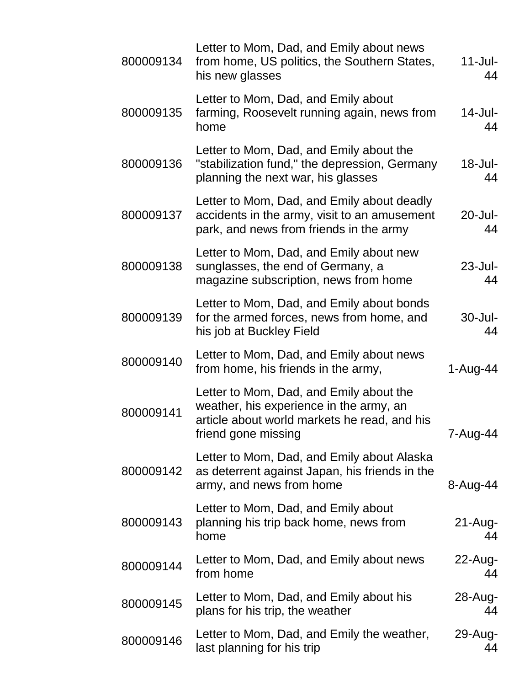| 800009134 | Letter to Mom, Dad, and Emily about news<br>from home, US politics, the Southern States,<br>his new glasses                                               | $11$ -Jul-<br>44     |
|-----------|-----------------------------------------------------------------------------------------------------------------------------------------------------------|----------------------|
| 800009135 | Letter to Mom, Dad, and Emily about<br>farming, Roosevelt running again, news from<br>home                                                                | 14-Jul-<br>44        |
| 800009136 | Letter to Mom, Dad, and Emily about the<br>"stabilization fund," the depression, Germany<br>planning the next war, his glasses                            | $18 -$ Jul $-$<br>44 |
| 800009137 | Letter to Mom, Dad, and Emily about deadly<br>accidents in the army, visit to an amusement<br>park, and news from friends in the army                     | $20 -$ Jul-<br>44    |
| 800009138 | Letter to Mom, Dad, and Emily about new<br>sunglasses, the end of Germany, a<br>magazine subscription, news from home                                     | $23$ -Jul-<br>44     |
| 800009139 | Letter to Mom, Dad, and Emily about bonds<br>for the armed forces, news from home, and<br>his job at Buckley Field                                        | $30 -$ Jul-<br>44    |
| 800009140 | Letter to Mom, Dad, and Emily about news<br>from home, his friends in the army,                                                                           | $1-Auq-44$           |
| 800009141 | Letter to Mom, Dad, and Emily about the<br>weather, his experience in the army, an<br>article about world markets he read, and his<br>friend gone missing | 7-Aug-44             |
| 800009142 | Letter to Mom, Dad, and Emily about Alaska<br>as deterrent against Japan, his friends in the<br>army, and news from home                                  | 8-Aug-44             |
| 800009143 | Letter to Mom, Dad, and Emily about<br>planning his trip back home, news from<br>home                                                                     | $21$ -Aug-<br>44     |
| 800009144 | Letter to Mom, Dad, and Emily about news<br>from home                                                                                                     | $22$ -Aug-<br>44     |
| 800009145 | Letter to Mom, Dad, and Emily about his<br>plans for his trip, the weather                                                                                | 28-Aug-<br>44        |
| 800009146 | Letter to Mom, Dad, and Emily the weather,<br>last planning for his trip                                                                                  | 29-Aug-<br>44        |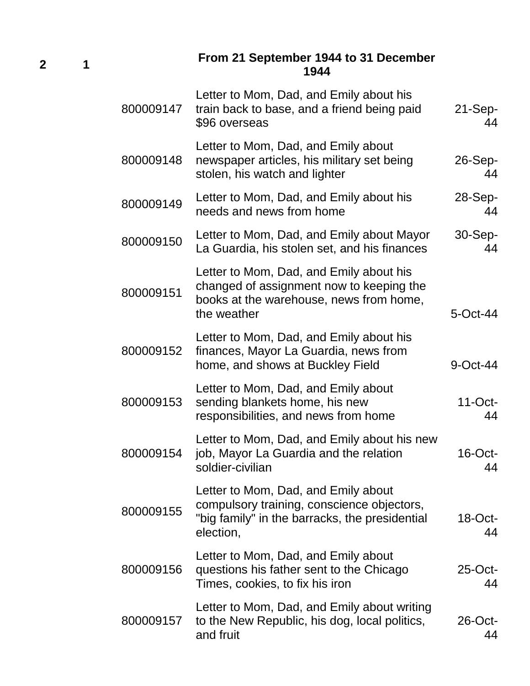**2 1**

#### **From 21 September 1944 to 31 December 1944**

| 800009147 | Letter to Mom, Dad, and Emily about his<br>train back to base, and a friend being paid<br>\$96 overseas                                          | $21-Sep-$<br>44  |
|-----------|--------------------------------------------------------------------------------------------------------------------------------------------------|------------------|
| 800009148 | Letter to Mom, Dad, and Emily about<br>newspaper articles, his military set being<br>stolen, his watch and lighter                               | $26-Sep-$<br>44  |
| 800009149 | Letter to Mom, Dad, and Emily about his<br>needs and news from home                                                                              | $28-Sep-$<br>44  |
| 800009150 | Letter to Mom, Dad, and Emily about Mayor<br>La Guardia, his stolen set, and his finances                                                        | $30-Sep-$<br>44  |
| 800009151 | Letter to Mom, Dad, and Emily about his<br>changed of assignment now to keeping the<br>books at the warehouse, news from home,<br>the weather    | 5-Oct-44         |
| 800009152 | Letter to Mom, Dad, and Emily about his<br>finances, Mayor La Guardia, news from<br>home, and shows at Buckley Field                             | $9$ -Oct-44      |
| 800009153 | Letter to Mom, Dad, and Emily about<br>sending blankets home, his new<br>responsibilities, and news from home                                    | $11$ -Oct-<br>44 |
| 800009154 | Letter to Mom, Dad, and Emily about his new<br>job, Mayor La Guardia and the relation<br>soldier-civilian                                        | $16$ -Oct-<br>44 |
| 800009155 | Letter to Mom, Dad, and Emily about<br>compulsory training, conscience objectors,<br>"big family" in the barracks, the presidential<br>election, | $18$ -Oct-<br>44 |
| 800009156 | Letter to Mom, Dad, and Emily about<br>questions his father sent to the Chicago<br>Times, cookies, to fix his iron                               | $25$ -Oct-<br>44 |
| 800009157 | Letter to Mom, Dad, and Emily about writing<br>to the New Republic, his dog, local politics,<br>and fruit                                        | $26$ -Oct-<br>44 |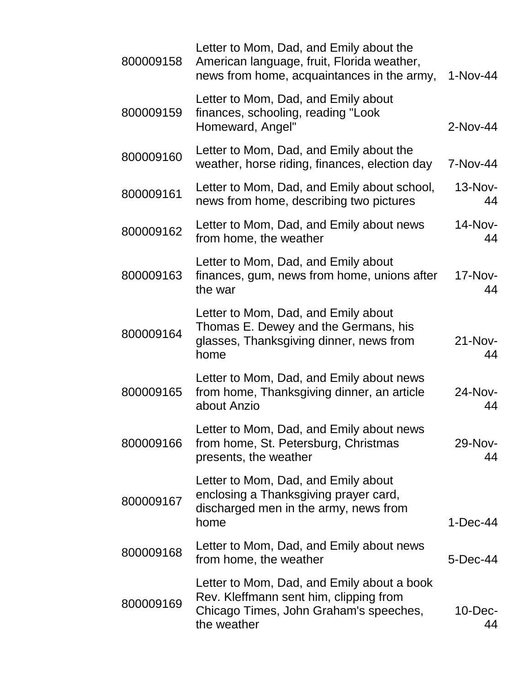| 800009158 | Letter to Mom, Dad, and Emily about the<br>American language, fruit, Florida weather,<br>news from home, acquaintances in the army,           | 1-Nov-44         |
|-----------|-----------------------------------------------------------------------------------------------------------------------------------------------|------------------|
| 800009159 | Letter to Mom, Dad, and Emily about<br>finances, schooling, reading "Look<br>Homeward, Angel"                                                 | 2-Nov-44         |
| 800009160 | Letter to Mom, Dad, and Emily about the<br>weather, horse riding, finances, election day                                                      | 7-Nov-44         |
| 800009161 | Letter to Mom, Dad, and Emily about school,<br>news from home, describing two pictures                                                        | 13-Nov-<br>44    |
| 800009162 | Letter to Mom, Dad, and Emily about news<br>from home, the weather                                                                            | 14-Nov-<br>44    |
| 800009163 | Letter to Mom, Dad, and Emily about<br>finances, gum, news from home, unions after<br>the war                                                 | 17-Nov-<br>44    |
| 800009164 | Letter to Mom, Dad, and Emily about<br>Thomas E. Dewey and the Germans, his<br>glasses, Thanksgiving dinner, news from<br>home                | $21-Nov-$<br>44  |
| 800009165 | Letter to Mom, Dad, and Emily about news<br>from home, Thanksgiving dinner, an article<br>about Anzio                                         | 24-Nov-<br>44    |
| 800009166 | Letter to Mom, Dad, and Emily about news<br>from home, St. Petersburg, Christmas<br>presents, the weather                                     | 29-Nov-<br>44    |
| 800009167 | Letter to Mom, Dad, and Emily about<br>enclosing a Thanksgiving prayer card,<br>discharged men in the army, news from<br>home                 | $1-Dec-44$       |
| 800009168 | Letter to Mom, Dad, and Emily about news<br>from home, the weather                                                                            | 5-Dec-44         |
| 800009169 | Letter to Mom, Dad, and Emily about a book<br>Rev. Kleffmann sent him, clipping from<br>Chicago Times, John Graham's speeches,<br>the weather | $10$ -Dec-<br>44 |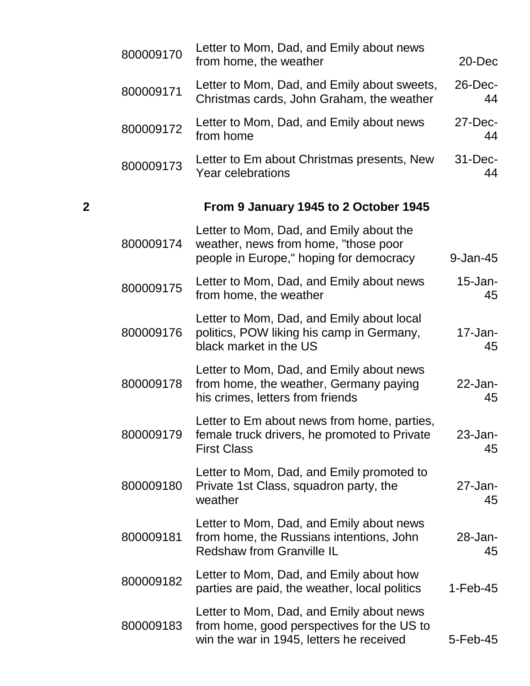|   | 800009170 | Letter to Mom, Dad, and Emily about news<br>from home, the weather                                                                 | $20 - Dec$         |
|---|-----------|------------------------------------------------------------------------------------------------------------------------------------|--------------------|
|   | 800009171 | Letter to Mom, Dad, and Emily about sweets,<br>Christmas cards, John Graham, the weather                                           | $26$ -Dec-<br>44   |
|   | 800009172 | Letter to Mom, Dad, and Emily about news<br>from home                                                                              | 27-Dec-<br>44      |
|   | 800009173 | Letter to Em about Christmas presents, New<br>Year celebrations                                                                    | $31 - Dec-$<br>44  |
| 2 |           | From 9 January 1945 to 2 October 1945                                                                                              |                    |
|   | 800009174 | Letter to Mom, Dad, and Emily about the<br>weather, news from home, "those poor<br>people in Europe," hoping for democracy         | 9-Jan-45           |
|   | 800009175 | Letter to Mom, Dad, and Emily about news<br>from home, the weather                                                                 | $15$ -Jan-<br>45   |
|   | 800009176 | Letter to Mom, Dad, and Emily about local<br>politics, POW liking his camp in Germany,<br>black market in the US                   | $17 - Jan-$<br>45  |
|   | 800009178 | Letter to Mom, Dad, and Emily about news<br>from home, the weather, Germany paying<br>his crimes, letters from friends             | $22$ -Jan-<br>45   |
|   | 800009179 | Letter to Em about news from home, parties,<br>female truck drivers, he promoted to Private<br><b>First Class</b>                  | $23$ -Jan-<br>45   |
|   | 800009180 | Letter to Mom, Dad, and Emily promoted to<br>Private 1st Class, squadron party, the<br>weather                                     | $27$ -Jan-<br>45   |
|   | 800009181 | Letter to Mom, Dad, and Emily about news<br>from home, the Russians intentions, John<br><b>Redshaw from Granville IL</b>           | $28 - Jan -$<br>45 |
|   | 800009182 | Letter to Mom, Dad, and Emily about how<br>parties are paid, the weather, local politics                                           | $1-Feb-45$         |
|   | 800009183 | Letter to Mom, Dad, and Emily about news<br>from home, good perspectives for the US to<br>win the war in 1945, letters he received | 5-Feb-45           |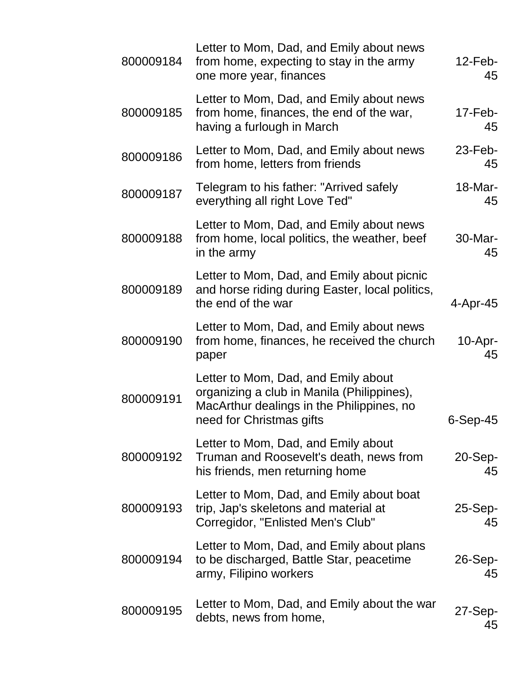| 800009184 | Letter to Mom, Dad, and Emily about news<br>from home, expecting to stay in the army<br>one more year, finances                                            | $12$ -Feb-<br>45 |
|-----------|------------------------------------------------------------------------------------------------------------------------------------------------------------|------------------|
| 800009185 | Letter to Mom, Dad, and Emily about news<br>from home, finances, the end of the war,<br>having a furlough in March                                         | $17$ -Feb-<br>45 |
| 800009186 | Letter to Mom, Dad, and Emily about news<br>from home, letters from friends                                                                                | $23$ -Feb-<br>45 |
| 800009187 | Telegram to his father: "Arrived safely<br>everything all right Love Ted"                                                                                  | 18-Mar-<br>45    |
| 800009188 | Letter to Mom, Dad, and Emily about news<br>from home, local politics, the weather, beef<br>in the army                                                    | 30-Mar-<br>45    |
| 800009189 | Letter to Mom, Dad, and Emily about picnic<br>and horse riding during Easter, local politics,<br>the end of the war                                        | 4-Apr-45         |
| 800009190 | Letter to Mom, Dad, and Emily about news<br>from home, finances, he received the church<br>paper                                                           | $10-Apr-$<br>45  |
| 800009191 | Letter to Mom, Dad, and Emily about<br>organizing a club in Manila (Philippines),<br>MacArthur dealings in the Philippines, no<br>need for Christmas gifts | $6-Sep-45$       |
| 800009192 | Letter to Mom, Dad, and Emily about<br>Truman and Roosevelt's death, news from<br>his friends, men returning home                                          | $20-Sep-$<br>45  |
| 800009193 | Letter to Mom, Dad, and Emily about boat<br>trip, Jap's skeletons and material at<br>Corregidor, "Enlisted Men's Club"                                     | 25-Sep-<br>45    |
| 800009194 | Letter to Mom, Dad, and Emily about plans<br>to be discharged, Battle Star, peacetime<br>army, Filipino workers                                            | $26-Sep-$<br>45  |
| 800009195 | Letter to Mom, Dad, and Emily about the war<br>debts, news from home,                                                                                      | $27-Sep-$<br>45  |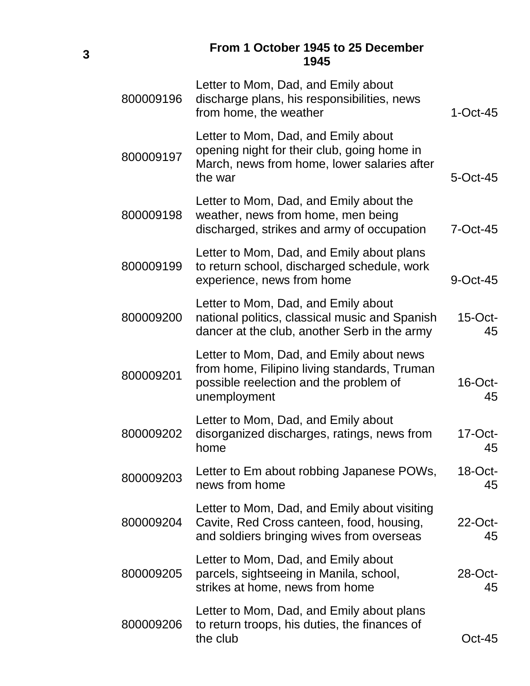|           | From 1 October 1945 to 25 December<br>1945                                                                                                         |                  |
|-----------|----------------------------------------------------------------------------------------------------------------------------------------------------|------------------|
| 800009196 | Letter to Mom, Dad, and Emily about<br>discharge plans, his responsibilities, news<br>from home, the weather                                       | $1$ -Oct-45      |
| 800009197 | Letter to Mom, Dad, and Emily about<br>opening night for their club, going home in<br>March, news from home, lower salaries after<br>the war       | 5-Oct-45         |
| 800009198 | Letter to Mom, Dad, and Emily about the<br>weather, news from home, men being<br>discharged, strikes and army of occupation                        | $7$ -Oct-45      |
| 800009199 | Letter to Mom, Dad, and Emily about plans<br>to return school, discharged schedule, work<br>experience, news from home                             | 9-Oct-45         |
| 800009200 | Letter to Mom, Dad, and Emily about<br>national politics, classical music and Spanish<br>dancer at the club, another Serb in the army              | $15$ -Oct-<br>45 |
| 800009201 | Letter to Mom, Dad, and Emily about news<br>from home, Filipino living standards, Truman<br>possible reelection and the problem of<br>unemployment | $16$ -Oct-<br>45 |
| 800009202 | Letter to Mom, Dad, and Emily about<br>disorganized discharges, ratings, news from<br>home                                                         | $17$ -Oct-<br>45 |
| 800009203 | Letter to Em about robbing Japanese POWs,<br>news from home                                                                                        | $18$ -Oct-<br>45 |
| 800009204 | Letter to Mom, Dad, and Emily about visiting<br>Cavite, Red Cross canteen, food, housing,<br>and soldiers bringing wives from overseas             | 22-Oct-<br>45    |
| 800009205 | Letter to Mom, Dad, and Emily about<br>parcels, sightseeing in Manila, school,<br>strikes at home, news from home                                  | 28-Oct-<br>45    |
| 800009206 | Letter to Mom, Dad, and Emily about plans<br>to return troops, his duties, the finances of<br>the club                                             | <b>Oct-45</b>    |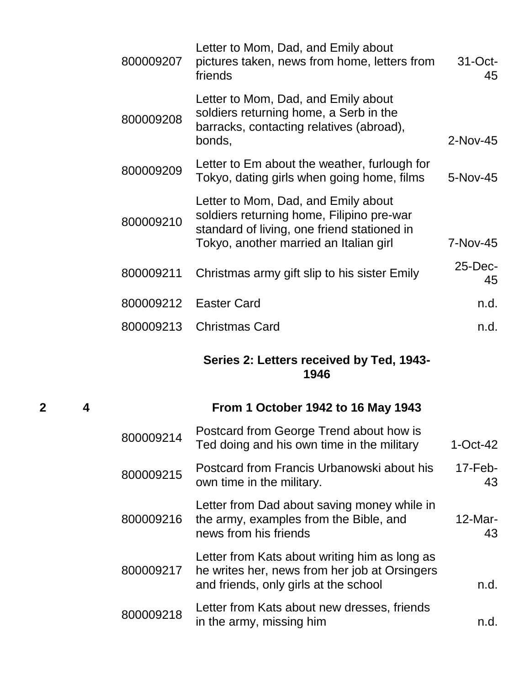|           | Series 2: Letters received by Ted, 1943-<br>1946                                                                                                                          |                  |
|-----------|---------------------------------------------------------------------------------------------------------------------------------------------------------------------------|------------------|
| 800009213 | <b>Christmas Card</b>                                                                                                                                                     | n.d.             |
| 800009212 | <b>Easter Card</b>                                                                                                                                                        | n.d.             |
| 800009211 | Christmas army gift slip to his sister Emily                                                                                                                              | $25$ -Dec-<br>45 |
| 800009210 | Letter to Mom, Dad, and Emily about<br>soldiers returning home, Filipino pre-war<br>standard of living, one friend stationed in<br>Tokyo, another married an Italian girl | 7-Nov-45         |
| 800009209 | Letter to Em about the weather, furlough for<br>Tokyo, dating girls when going home, films                                                                                | 5-Nov-45         |
| 800009208 | Letter to Mom, Dad, and Emily about<br>soldiers returning home, a Serb in the<br>barracks, contacting relatives (abroad),<br>bonds,                                       | 2-Nov-45         |
| 800009207 | Letter to Mom, Dad, and Emily about<br>pictures taken, news from home, letters from<br>friends                                                                            | $31-Oct$ -<br>45 |

# **2 4 From 1 October 1942 to 16 May 1943**

| 800009214 | Postcard from George Trend about how is<br>Ted doing and his own time in the military                                                   | $1-Oct-42$       |
|-----------|-----------------------------------------------------------------------------------------------------------------------------------------|------------------|
| 800009215 | Postcard from Francis Urbanowski about his<br>own time in the military.                                                                 | $17-Feb-$<br>43  |
| 800009216 | Letter from Dad about saving money while in<br>the army, examples from the Bible, and<br>news from his friends                          | $12$ -Mar-<br>43 |
| 800009217 | Letter from Kats about writing him as long as<br>he writes her, news from her job at Orsingers<br>and friends, only girls at the school | n.d.             |
| 800009218 | Letter from Kats about new dresses, friends<br>in the army, missing him                                                                 | n dl             |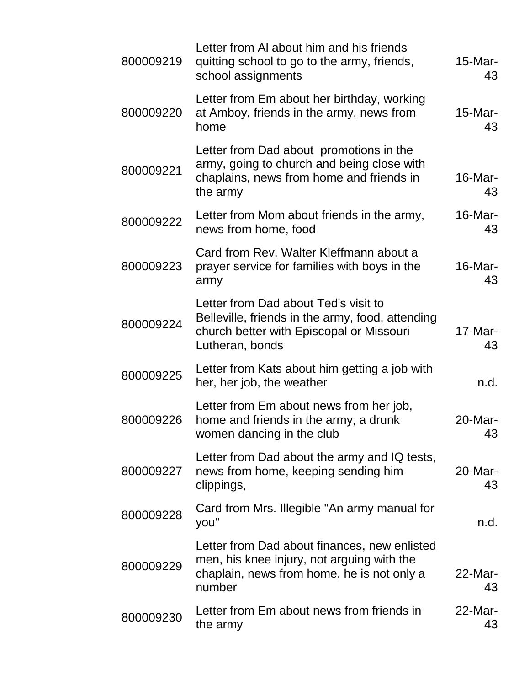| 800009219 | Letter from AI about him and his friends<br>quitting school to go to the army, friends,<br>school assignments                                           | $15$ -Mar-<br>43 |
|-----------|---------------------------------------------------------------------------------------------------------------------------------------------------------|------------------|
| 800009220 | Letter from Em about her birthday, working<br>at Amboy, friends in the army, news from<br>home                                                          | 15-Mar-<br>43    |
| 800009221 | Letter from Dad about promotions in the<br>army, going to church and being close with<br>chaplains, news from home and friends in<br>the army           | 16-Mar-<br>43    |
| 800009222 | Letter from Mom about friends in the army,<br>news from home, food                                                                                      | $16$ -Mar-<br>43 |
| 800009223 | Card from Rev. Walter Kleffmann about a<br>prayer service for families with boys in the<br>army                                                         | 16-Mar-<br>43    |
| 800009224 | Letter from Dad about Ted's visit to<br>Belleville, friends in the army, food, attending<br>church better with Episcopal or Missouri<br>Lutheran, bonds | $17$ -Mar-<br>43 |
| 800009225 | Letter from Kats about him getting a job with<br>her, her job, the weather                                                                              | n.d.             |
| 800009226 | Letter from Em about news from her job,<br>home and friends in the army, a drunk<br>women dancing in the club                                           | $20$ -Mar-<br>43 |
| 800009227 | Letter from Dad about the army and IQ tests,<br>news from home, keeping sending him<br>clippings,                                                       | 20-Mar-<br>43    |
| 800009228 | Card from Mrs. Illegible "An army manual for<br>you"                                                                                                    | n.d.             |
| 800009229 | Letter from Dad about finances, new enlisted<br>men, his knee injury, not arguing with the<br>chaplain, news from home, he is not only a<br>number      | $22$ -Mar-<br>43 |
| 800009230 | Letter from Em about news from friends in<br>the army                                                                                                   | $22$ -Mar-<br>43 |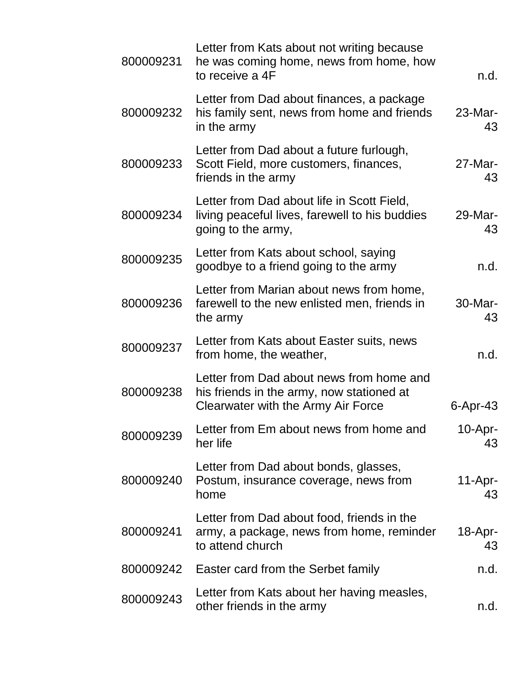| 800009231 | Letter from Kats about not writing because<br>he was coming home, news from home, how<br>to receive a 4F                    | n.d.             |
|-----------|-----------------------------------------------------------------------------------------------------------------------------|------------------|
| 800009232 | Letter from Dad about finances, a package<br>his family sent, news from home and friends<br>in the army                     | $23$ -Mar-<br>43 |
| 800009233 | Letter from Dad about a future furlough,<br>Scott Field, more customers, finances,<br>friends in the army                   | $27$ -Mar-<br>43 |
| 800009234 | Letter from Dad about life in Scott Field,<br>living peaceful lives, farewell to his buddies<br>going to the army,          | 29-Mar-<br>43    |
| 800009235 | Letter from Kats about school, saying<br>goodbye to a friend going to the army                                              | n.d.             |
| 800009236 | Letter from Marian about news from home,<br>farewell to the new enlisted men, friends in<br>the army                        | 30-Mar-<br>43    |
| 800009237 | Letter from Kats about Easter suits, news<br>from home, the weather,                                                        | n.d.             |
| 800009238 | Letter from Dad about news from home and<br>his friends in the army, now stationed at<br>Clearwater with the Army Air Force | $6$ -Apr-43      |
| 800009239 | Letter from Em about news from home and<br>her life                                                                         | 10-Apr-<br>43    |
| 800009240 | Letter from Dad about bonds, glasses,<br>Postum, insurance coverage, news from<br>home                                      | $11-Apr-$<br>43  |
| 800009241 | Letter from Dad about food, friends in the<br>army, a package, news from home, reminder<br>to attend church                 | $18$ -Apr-<br>43 |
| 800009242 | Easter card from the Serbet family                                                                                          | n.d.             |
| 800009243 | Letter from Kats about her having measles,<br>other friends in the army                                                     | n.d.             |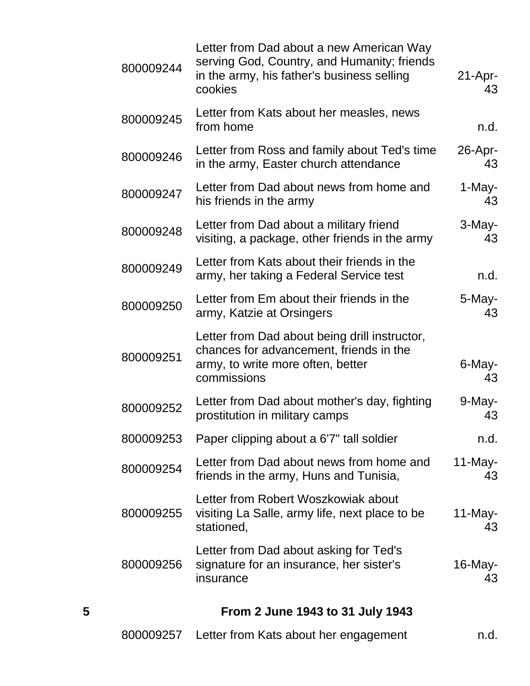| 5         | From 2 June 1943 to 31 July 1943                                                                                                                 |                  |
|-----------|--------------------------------------------------------------------------------------------------------------------------------------------------|------------------|
| 800009256 | Letter from Dad about asking for Ted's<br>signature for an insurance, her sister's<br>insurance                                                  | $16$ -May-<br>43 |
| 800009255 | Letter from Robert Woszkowiak about<br>visiting La Salle, army life, next place to be<br>stationed,                                              | $11$ -May-<br>43 |
| 800009254 | Letter from Dad about news from home and<br>friends in the army, Huns and Tunisia,                                                               | $11$ -May-<br>43 |
| 800009253 | Paper clipping about a 6'7" tall soldier                                                                                                         | n.d.             |
| 800009252 | Letter from Dad about mother's day, fighting<br>prostitution in military camps                                                                   | 9-May-<br>43     |
| 800009251 | Letter from Dad about being drill instructor,<br>chances for advancement, friends in the<br>army, to write more often, better<br>commissions     | 6-May-<br>43     |
| 800009250 | Letter from Em about their friends in the<br>army, Katzie at Orsingers                                                                           | 5-May-<br>43     |
| 800009249 | Letter from Kats about their friends in the<br>army, her taking a Federal Service test                                                           | n.d.             |
| 800009248 | Letter from Dad about a military friend<br>visiting, a package, other friends in the army                                                        | 3-May-<br>43     |
| 800009247 | Letter from Dad about news from home and<br>his friends in the army                                                                              | 1-May-<br>43     |
| 800009246 | Letter from Ross and family about Ted's time<br>in the army, Easter church attendance                                                            | $26$ -Apr-<br>43 |
| 800009245 | Letter from Kats about her measles, news<br>from home                                                                                            | n.d.             |
| 800009244 | Letter from Dad about a new American Way<br>serving God, Country, and Humanity; friends<br>in the army, his father's business selling<br>cookies | $21-Apr-$<br>43  |

|  | 800009257 Letter from Kats about her engagement | n.d. |
|--|-------------------------------------------------|------|
|--|-------------------------------------------------|------|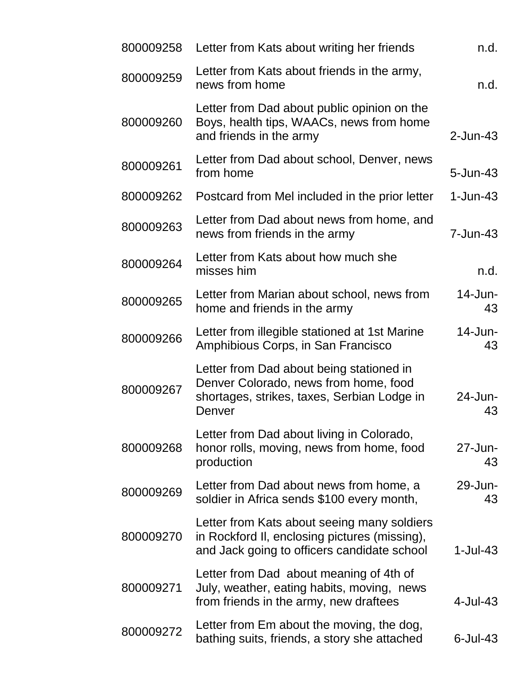| n.d.               | Letter from Kats about writing her friends                                                                                                  | 800009258 |
|--------------------|---------------------------------------------------------------------------------------------------------------------------------------------|-----------|
| n.d.               | Letter from Kats about friends in the army,<br>news from home                                                                               | 800009259 |
| $2$ -Jun-43        | Letter from Dad about public opinion on the<br>Boys, health tips, WAACs, news from home<br>and friends in the army                          | 800009260 |
| $5 - Jun-43$       | Letter from Dad about school, Denver, news<br>from home                                                                                     | 800009261 |
| $1 - Jun-43$       | Postcard from Mel included in the prior letter                                                                                              | 800009262 |
| 7-Jun-43           | Letter from Dad about news from home, and<br>news from friends in the army                                                                  | 800009263 |
| n.d.               | Letter from Kats about how much she<br>misses him                                                                                           | 800009264 |
| $14$ -Jun-<br>43   | Letter from Marian about school, news from<br>home and friends in the army                                                                  | 800009265 |
| $14$ -Jun-<br>43   | Letter from illegible stationed at 1st Marine<br>Amphibious Corps, in San Francisco                                                         | 800009266 |
| 24-Jun-<br>43      | Letter from Dad about being stationed in<br>Denver Colorado, news from home, food<br>shortages, strikes, taxes, Serbian Lodge in<br>Denver  | 800009267 |
| $27 - Jun -$<br>43 | Letter from Dad about living in Colorado,<br>honor rolls, moving, news from home, food<br>production                                        | 800009268 |
| 29-Jun-<br>43      | Letter from Dad about news from home, a<br>soldier in Africa sends \$100 every month,                                                       | 800009269 |
| $1$ -Jul-43        | Letter from Kats about seeing many soldiers<br>in Rockford II, enclosing pictures (missing),<br>and Jack going to officers candidate school | 800009270 |
| 4-Jul-43           | Letter from Dad about meaning of 4th of<br>July, weather, eating habits, moving, news<br>from friends in the army, new draftees             | 800009271 |
| $6$ -Jul-43        | Letter from Em about the moving, the dog,<br>bathing suits, friends, a story she attached                                                   | 800009272 |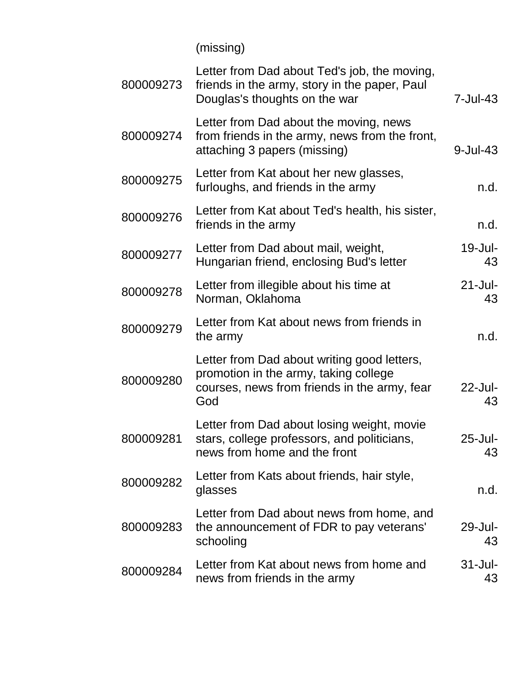(missing)

| 800009273 | Letter from Dad about Ted's job, the moving,<br>friends in the army, story in the paper, Paul<br>Douglas's thoughts on the war              | 7-Jul-43          |
|-----------|---------------------------------------------------------------------------------------------------------------------------------------------|-------------------|
| 800009274 | Letter from Dad about the moving, news<br>from friends in the army, news from the front,<br>attaching 3 papers (missing)                    | $9$ -Jul-43       |
| 800009275 | Letter from Kat about her new glasses,<br>furloughs, and friends in the army                                                                | n.d.              |
| 800009276 | Letter from Kat about Ted's health, his sister,<br>friends in the army                                                                      | n.d.              |
| 800009277 | Letter from Dad about mail, weight,<br>Hungarian friend, enclosing Bud's letter                                                             | 19-Jul-<br>43     |
| 800009278 | Letter from illegible about his time at<br>Norman, Oklahoma                                                                                 | $21 -$ Jul-<br>43 |
| 800009279 | Letter from Kat about news from friends in<br>the army                                                                                      | n.d.              |
| 800009280 | Letter from Dad about writing good letters,<br>promotion in the army, taking college<br>courses, news from friends in the army, fear<br>God | 22-Jul-<br>43     |
| 800009281 | Letter from Dad about losing weight, movie<br>stars, college professors, and politicians,<br>news from home and the front                   | 25-Jul-<br>43     |
| 800009282 | Letter from Kats about friends, hair style,<br>glasses                                                                                      | n.d.              |
| 800009283 | Letter from Dad about news from home, and<br>the announcement of FDR to pay veterans'<br>schooling                                          | 29-Jul-<br>43     |
| 800009284 | Letter from Kat about news from home and<br>news from friends in the army                                                                   | $31 -$ Jul-<br>43 |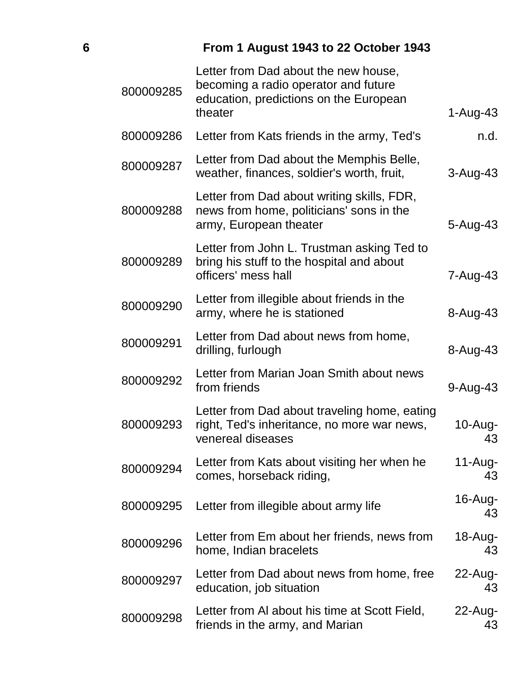# **6 From 1 August 1943 to 22 October 1943**

| 800009285 | Letter from Dad about the new house,<br>becoming a radio operator and future<br>education, predictions on the European<br>theater | $1-Au$ g-43      |
|-----------|-----------------------------------------------------------------------------------------------------------------------------------|------------------|
| 800009286 | Letter from Kats friends in the army, Ted's                                                                                       | n.d.             |
| 800009287 | Letter from Dad about the Memphis Belle,<br>weather, finances, soldier's worth, fruit,                                            | 3-Aug-43         |
| 800009288 | Letter from Dad about writing skills, FDR,<br>news from home, politicians' sons in the<br>army, European theater                  | 5-Aug-43         |
| 800009289 | Letter from John L. Trustman asking Ted to<br>bring his stuff to the hospital and about<br>officers' mess hall                    | 7-Aug-43         |
| 800009290 | Letter from illegible about friends in the<br>army, where he is stationed                                                         | 8-Aug-43         |
| 800009291 | Letter from Dad about news from home,<br>drilling, furlough                                                                       | 8-Aug-43         |
| 800009292 | Letter from Marian Joan Smith about news<br>from friends                                                                          | 9-Aug-43         |
| 800009293 | Letter from Dad about traveling home, eating<br>right, Ted's inheritance, no more war news,<br>venereal diseases                  | 10-Aug-<br>43    |
| 800009294 | Letter from Kats about visiting her when he<br>comes, horseback riding,                                                           | $11-Aug-$<br>43  |
| 800009295 | Letter from illegible about army life                                                                                             | 16-Aug-<br>43    |
| 800009296 | Letter from Em about her friends, news from<br>home, Indian bracelets                                                             | 18-Aug-<br>43    |
| 800009297 | Letter from Dad about news from home, free<br>education, job situation                                                            | $22$ -Aug-<br>43 |
| 800009298 | Letter from AI about his time at Scott Field,<br>friends in the army, and Marian                                                  | $22$ -Aug-<br>43 |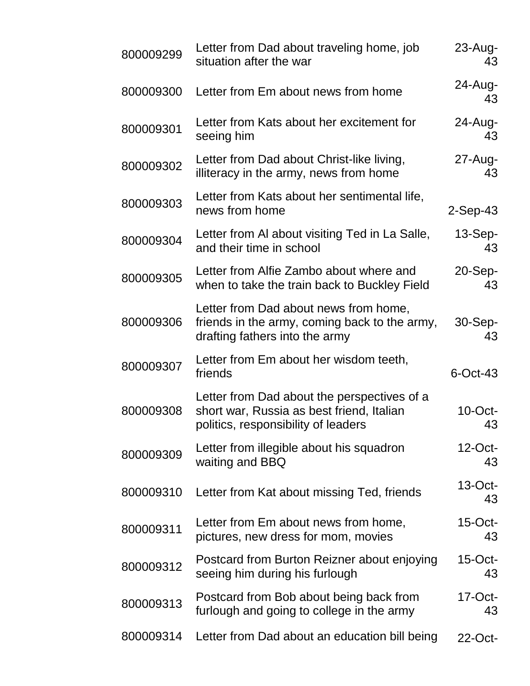| 800009299 | Letter from Dad about traveling home, job<br>situation after the war                                                            | $23$ -Aug-<br>43 |
|-----------|---------------------------------------------------------------------------------------------------------------------------------|------------------|
| 800009300 | Letter from Em about news from home                                                                                             | $24$ -Aug-<br>43 |
| 800009301 | Letter from Kats about her excitement for<br>seeing him                                                                         | $24$ -Aug-<br>43 |
| 800009302 | Letter from Dad about Christ-like living,<br>illiteracy in the army, news from home                                             | $27$ -Aug-<br>43 |
| 800009303 | Letter from Kats about her sentimental life,<br>news from home                                                                  | 2-Sep-43         |
| 800009304 | Letter from AI about visiting Ted in La Salle,<br>and their time in school                                                      | $13-Sep-$<br>43  |
| 800009305 | Letter from Alfie Zambo about where and<br>when to take the train back to Buckley Field                                         | $20-Sep-$<br>43  |
| 800009306 | Letter from Dad about news from home,<br>friends in the army, coming back to the army,<br>drafting fathers into the army        | 30-Sep-<br>43    |
| 800009307 | Letter from Em about her wisdom teeth,<br>friends                                                                               | $6$ -Oct-43      |
| 800009308 | Letter from Dad about the perspectives of a<br>short war, Russia as best friend, Italian<br>politics, responsibility of leaders | $10$ -Oct-<br>43 |
| 800009309 | Letter from illegible about his squadron<br>waiting and BBQ                                                                     | $12$ -Oct-<br>43 |
| 800009310 | Letter from Kat about missing Ted, friends                                                                                      | $13$ -Oct-<br>43 |
| 800009311 | Letter from Em about news from home,<br>pictures, new dress for mom, movies                                                     | $15$ -Oct-<br>43 |
| 800009312 | Postcard from Burton Reizner about enjoying<br>seeing him during his furlough                                                   | $15$ -Oct-<br>43 |
| 800009313 | Postcard from Bob about being back from<br>furlough and going to college in the army                                            | $17$ -Oct-<br>43 |
| 800009314 | Letter from Dad about an education bill being                                                                                   | 22-Oct-          |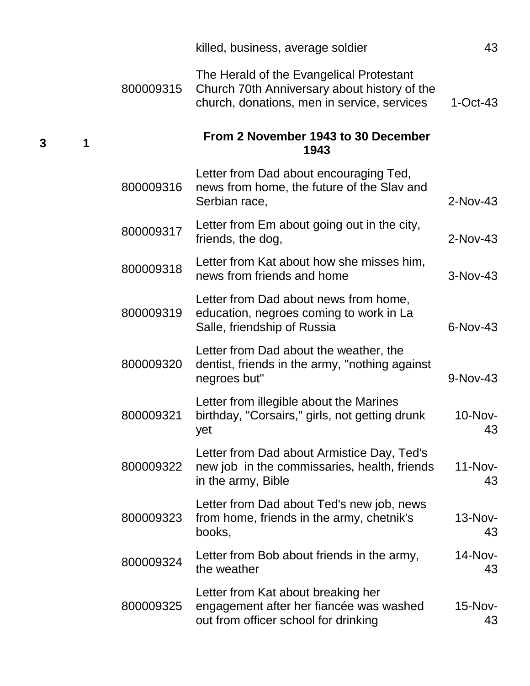|   |           | killed, business, average soldier                                                                                                       | 43               |
|---|-----------|-----------------------------------------------------------------------------------------------------------------------------------------|------------------|
|   | 800009315 | The Herald of the Evangelical Protestant<br>Church 70th Anniversary about history of the<br>church, donations, men in service, services | $1-Oct-43$       |
| 1 |           | From 2 November 1943 to 30 December<br>1943                                                                                             |                  |
|   | 800009316 | Letter from Dad about encouraging Ted,<br>news from home, the future of the Slav and<br>Serbian race,                                   | 2-Nov-43         |
|   | 800009317 | Letter from Em about going out in the city,<br>friends, the dog,                                                                        | $2-Nov-43$       |
|   | 800009318 | Letter from Kat about how she misses him,<br>news from friends and home                                                                 | 3-Nov-43         |
|   | 800009319 | Letter from Dad about news from home,<br>education, negroes coming to work in La<br>Salle, friendship of Russia                         | 6-Nov-43         |
|   | 800009320 | Letter from Dad about the weather, the<br>dentist, friends in the army, "nothing against<br>negroes but"                                | 9-Nov-43         |
|   | 800009321 | Letter from illegible about the Marines<br>birthday, "Corsairs," girls, not getting drunk<br>yet                                        | 10-Nov-<br>43    |
|   | 800009322 | Letter from Dad about Armistice Day, Ted's<br>new job in the commissaries, health, friends<br>in the army, Bible                        | $11-Nov-$<br>43  |
|   | 800009323 | Letter from Dad about Ted's new job, news<br>from home, friends in the army, chetnik's<br>books,                                        | $13-Nov-$<br>43  |
|   | 800009324 | Letter from Bob about friends in the army,<br>the weather                                                                               | $14$ -Nov-<br>43 |
|   | 800009325 | Letter from Kat about breaking her<br>engagement after her fiancée was washed<br>out from officer school for drinking                   | 15-Nov-<br>43    |

**3 1**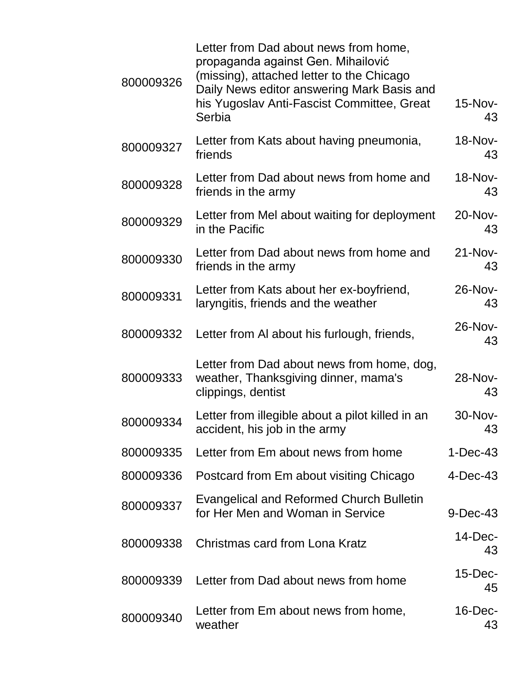| 800009326 | Letter from Dad about news from home,<br>propaganda against Gen. Mihailović<br>(missing), attached letter to the Chicago<br>Daily News editor answering Mark Basis and<br>his Yugoslav Anti-Fascist Committee, Great<br>Serbia | 15-Nov-<br>43    |
|-----------|--------------------------------------------------------------------------------------------------------------------------------------------------------------------------------------------------------------------------------|------------------|
| 800009327 | Letter from Kats about having pneumonia,<br>friends                                                                                                                                                                            | 18-Nov-<br>43    |
| 800009328 | Letter from Dad about news from home and<br>friends in the army                                                                                                                                                                | 18-Nov-<br>43    |
| 800009329 | Letter from Mel about waiting for deployment<br>in the Pacific                                                                                                                                                                 | 20-Nov-<br>43    |
| 800009330 | Letter from Dad about news from home and<br>friends in the army                                                                                                                                                                | $21-Nov-$<br>43  |
| 800009331 | Letter from Kats about her ex-boyfriend,<br>laryngitis, friends and the weather                                                                                                                                                | 26-Nov-<br>43    |
| 800009332 | Letter from AI about his furlough, friends,                                                                                                                                                                                    | 26-Nov-<br>43    |
| 800009333 | Letter from Dad about news from home, dog,<br>weather, Thanksgiving dinner, mama's<br>clippings, dentist                                                                                                                       | 28-Nov-<br>43    |
| 800009334 | Letter from illegible about a pilot killed in an<br>accident, his job in the army                                                                                                                                              | 30-Nov-<br>43    |
| 800009335 | Letter from Em about news from home                                                                                                                                                                                            | $1-Dec-43$       |
| 800009336 | Postcard from Em about visiting Chicago                                                                                                                                                                                        | 4-Dec-43         |
| 800009337 | <b>Evangelical and Reformed Church Bulletin</b><br>for Her Men and Woman in Service                                                                                                                                            | 9-Dec-43         |
| 800009338 | Christmas card from Lona Kratz                                                                                                                                                                                                 | $14$ -Dec-<br>43 |
| 800009339 | Letter from Dad about news from home                                                                                                                                                                                           | $15$ -Dec-<br>45 |
| 800009340 | Letter from Em about news from home,<br>weather                                                                                                                                                                                | $16$ -Dec-<br>43 |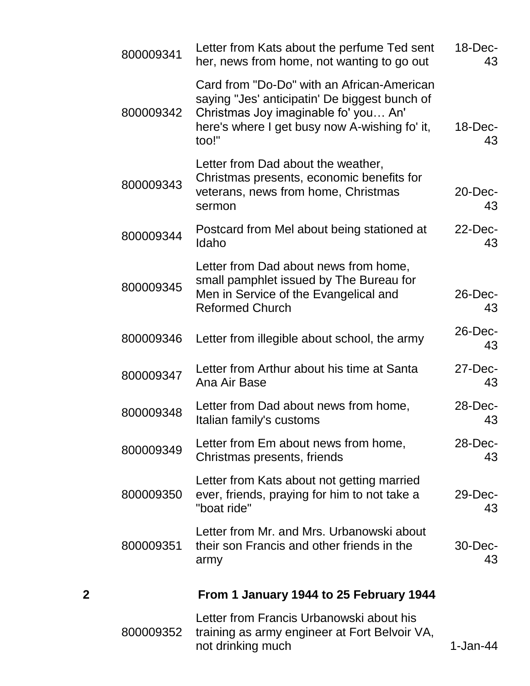|   | 800009341 | Letter from Kats about the perfume Ted sent<br>her, news from home, not wanting to go out                                                                                                     | $18$ -Dec-<br>43 |
|---|-----------|-----------------------------------------------------------------------------------------------------------------------------------------------------------------------------------------------|------------------|
|   | 800009342 | Card from "Do-Do" with an African-American<br>saying "Jes' anticipatin' De biggest bunch of<br>Christmas Joy imaginable fo' you An'<br>here's where I get busy now A-wishing fo' it,<br>too!" | $18$ -Dec-<br>43 |
|   | 800009343 | Letter from Dad about the weather,<br>Christmas presents, economic benefits for<br>veterans, news from home, Christmas<br>sermon                                                              | $20$ -Dec-<br>43 |
|   | 800009344 | Postcard from Mel about being stationed at<br>Idaho                                                                                                                                           | $22$ -Dec-<br>43 |
|   | 800009345 | Letter from Dad about news from home,<br>small pamphlet issued by The Bureau for<br>Men in Service of the Evangelical and<br><b>Reformed Church</b>                                           | $26$ -Dec-<br>43 |
|   | 800009346 | Letter from illegible about school, the army                                                                                                                                                  | $26$ -Dec-<br>43 |
|   | 800009347 | Letter from Arthur about his time at Santa<br>Ana Air Base                                                                                                                                    | $27$ -Dec-<br>43 |
|   | 800009348 | Letter from Dad about news from home,<br>Italian family's customs                                                                                                                             | 28-Dec-<br>43    |
|   | 800009349 | Letter from Em about news from home,<br>Christmas presents, friends                                                                                                                           | $28$ -Dec-<br>43 |
|   | 800009350 | Letter from Kats about not getting married<br>ever, friends, praying for him to not take a<br>"boat ride"                                                                                     | 29-Dec-<br>43    |
|   | 800009351 | Letter from Mr. and Mrs. Urbanowski about<br>their son Francis and other friends in the<br>army                                                                                               | 30-Dec-<br>43    |
| 2 |           | From 1 January 1944 to 25 February 1944                                                                                                                                                       |                  |
|   | 800009352 | Letter from Francis Urbanowski about his<br>training as army engineer at Fort Belvoir VA,<br>not drinking much                                                                                | 1-Jan-44         |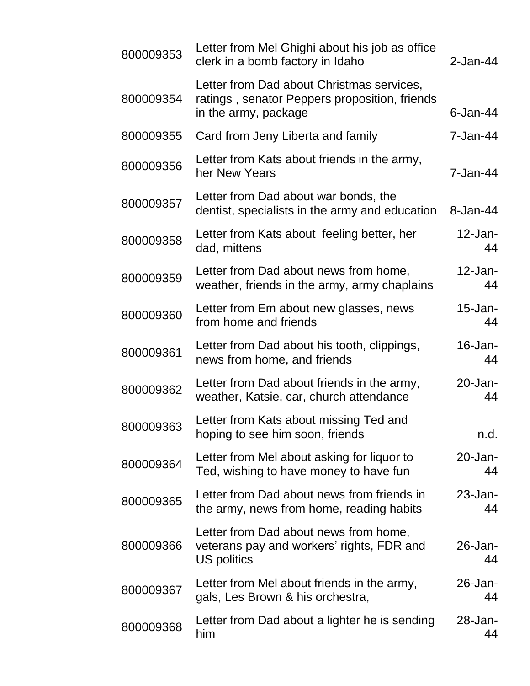| 800009353 | Letter from Mel Ghighi about his job as office<br>clerk in a bomb factory in Idaho                                 | 2-Jan-44         |
|-----------|--------------------------------------------------------------------------------------------------------------------|------------------|
| 800009354 | Letter from Dad about Christmas services,<br>ratings, senator Peppers proposition, friends<br>in the army, package | $6$ -Jan-44      |
| 800009355 | Card from Jeny Liberta and family                                                                                  | 7-Jan-44         |
| 800009356 | Letter from Kats about friends in the army,<br>her New Years                                                       | 7-Jan-44         |
| 800009357 | Letter from Dad about war bonds, the<br>dentist, specialists in the army and education                             | 8-Jan-44         |
| 800009358 | Letter from Kats about feeling better, her<br>dad, mittens                                                         | $12$ -Jan-<br>44 |
| 800009359 | Letter from Dad about news from home,<br>weather, friends in the army, army chaplains                              | $12$ -Jan-<br>44 |
| 800009360 | Letter from Em about new glasses, news<br>from home and friends                                                    | $15$ -Jan-<br>44 |
| 800009361 | Letter from Dad about his tooth, clippings,<br>news from home, and friends                                         | $16$ -Jan-<br>44 |
| 800009362 | Letter from Dad about friends in the army,<br>weather, Katsie, car, church attendance                              | $20$ -Jan-<br>44 |
| 800009363 | Letter from Kats about missing Ted and<br>hoping to see him soon, friends                                          | n.d.             |
| 800009364 | Letter from Mel about asking for liquor to<br>Ted, wishing to have money to have fun                               | $20$ -Jan-<br>44 |
| 800009365 | Letter from Dad about news from friends in<br>the army, news from home, reading habits                             | $23$ -Jan-<br>44 |
| 800009366 | Letter from Dad about news from home,<br>veterans pay and workers' rights, FDR and<br>US politics                  | $26$ -Jan-<br>44 |
| 800009367 | Letter from Mel about friends in the army,<br>gals, Les Brown & his orchestra,                                     | 26-Jan-<br>44    |
| 800009368 | Letter from Dad about a lighter he is sending<br>him                                                               | 28-Jan-<br>44    |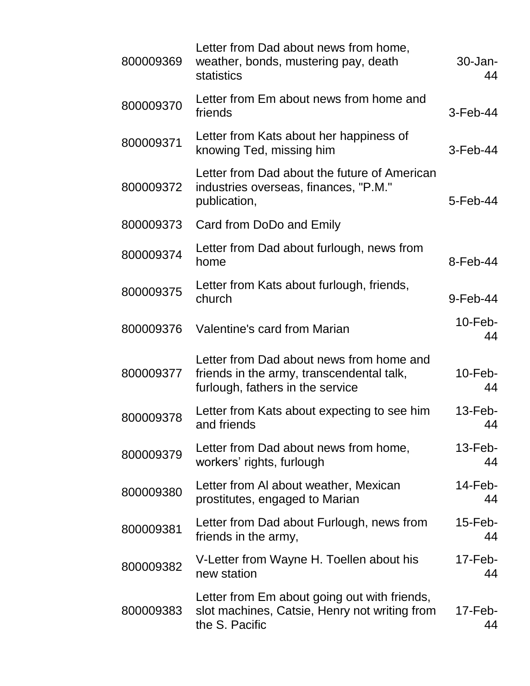| 800009369 | Letter from Dad about news from home,<br>weather, bonds, mustering pay, death<br>statistics                               | $30 - Jan-$<br>44 |
|-----------|---------------------------------------------------------------------------------------------------------------------------|-------------------|
| 800009370 | Letter from Em about news from home and<br>friends                                                                        | $3-Feb-44$        |
| 800009371 | Letter from Kats about her happiness of<br>knowing Ted, missing him                                                       | $3-Feb-44$        |
| 800009372 | Letter from Dad about the future of American<br>industries overseas, finances, "P.M."<br>publication,                     | 5-Feb-44          |
| 800009373 | Card from DoDo and Emily                                                                                                  |                   |
| 800009374 | Letter from Dad about furlough, news from<br>home                                                                         | $8-Feb-44$        |
| 800009375 | Letter from Kats about furlough, friends,<br>church                                                                       | $9$ -Feb-44       |
| 800009376 | Valentine's card from Marian                                                                                              | $10$ -Feb-<br>44  |
| 800009377 | Letter from Dad about news from home and<br>friends in the army, transcendental talk,<br>furlough, fathers in the service | $10$ -Feb-<br>44  |
| 800009378 | Letter from Kats about expecting to see him<br>and friends                                                                | $13$ -Feb-<br>44  |
| 800009379 | Letter from Dad about news from home,<br>workers' rights, furlough                                                        | $13$ -Feb-<br>44  |
| 800009380 | Letter from AI about weather, Mexican<br>prostitutes, engaged to Marian                                                   | $14$ -Feb-<br>44  |
| 800009381 | Letter from Dad about Furlough, news from<br>friends in the army,                                                         | $15$ -Feb-<br>44  |
| 800009382 | V-Letter from Wayne H. Toellen about his<br>new station                                                                   | $17$ -Feb-<br>44  |
| 800009383 | Letter from Em about going out with friends,<br>slot machines, Catsie, Henry not writing from<br>the S. Pacific           | $17$ -Feb-<br>44  |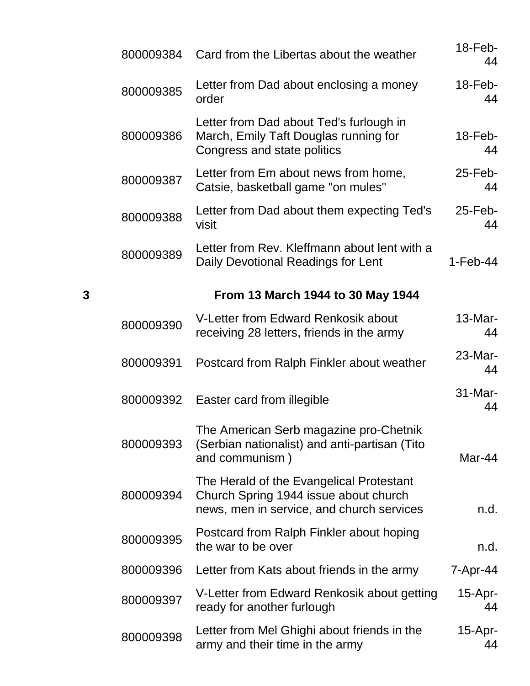|   | 800009384 | Card from the Libertas about the weather                                                                                       | 18-Feb-<br>44    |
|---|-----------|--------------------------------------------------------------------------------------------------------------------------------|------------------|
|   | 800009385 | Letter from Dad about enclosing a money<br>order                                                                               | $18$ -Feb-<br>44 |
|   | 800009386 | Letter from Dad about Ted's furlough in<br>March, Emily Taft Douglas running for<br>Congress and state politics                | $18$ -Feb-<br>44 |
|   | 800009387 | Letter from Em about news from home,<br>Catsie, basketball game "on mules"                                                     | $25$ -Feb-<br>44 |
|   | 800009388 | Letter from Dad about them expecting Ted's<br>visit                                                                            | $25$ -Feb-<br>44 |
|   | 800009389 | Letter from Rev. Kleffmann about lent with a<br>Daily Devotional Readings for Lent                                             | $1-Feb-44$       |
| 3 |           | From 13 March 1944 to 30 May 1944                                                                                              |                  |
|   | 800009390 | V-Letter from Edward Renkosik about<br>receiving 28 letters, friends in the army                                               | 13-Mar-<br>44    |
|   | 800009391 | Postcard from Ralph Finkler about weather                                                                                      | 23-Mar-<br>44    |
|   | 800009392 | Easter card from illegible                                                                                                     | 31-Mar-<br>44    |
|   | 800009393 | The American Serb magazine pro-Chetnik<br>(Serbian nationalist) and anti-partisan (Tito<br>and communism)                      | Mar-44           |
|   | 800009394 | The Herald of the Evangelical Protestant<br>Church Spring 1944 issue about church<br>news, men in service, and church services | n.d.             |
|   | 800009395 | Postcard from Ralph Finkler about hoping<br>the war to be over                                                                 | n.d.             |
|   | 800009396 | Letter from Kats about friends in the army                                                                                     | 7-Apr-44         |
|   | 800009397 | V-Letter from Edward Renkosik about getting<br>ready for another furlough                                                      | $15-Apr-$<br>44  |
|   | 800009398 | Letter from Mel Ghighi about friends in the<br>army and their time in the army                                                 | $15-Apr-$<br>44  |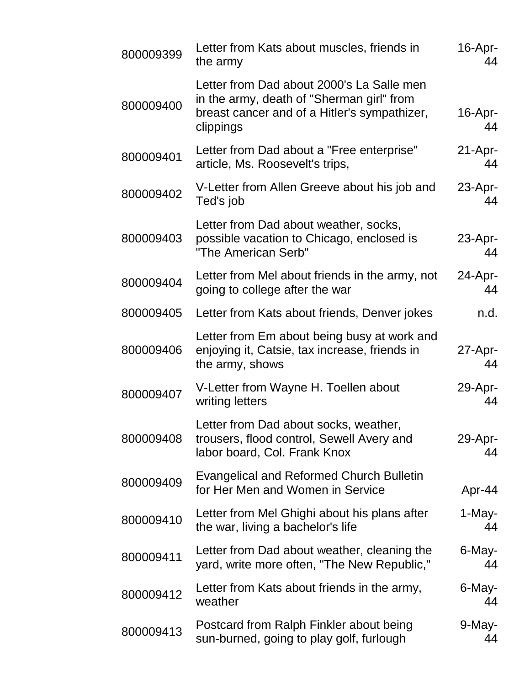| 800009399 | Letter from Kats about muscles, friends in<br>the army                                                                                              | 16-Apr-<br>44    |
|-----------|-----------------------------------------------------------------------------------------------------------------------------------------------------|------------------|
| 800009400 | Letter from Dad about 2000's La Salle men<br>in the army, death of "Sherman girl" from<br>breast cancer and of a Hitler's sympathizer,<br>clippings | 16-Apr-<br>44    |
| 800009401 | Letter from Dad about a "Free enterprise"<br>article, Ms. Roosevelt's trips,                                                                        | $21-Apr-$<br>44  |
| 800009402 | V-Letter from Allen Greeve about his job and<br>Ted's job                                                                                           | $23$ -Apr-<br>44 |
| 800009403 | Letter from Dad about weather, socks,<br>possible vacation to Chicago, enclosed is<br>"The American Serb"                                           | $23$ -Apr-<br>44 |
| 800009404 | Letter from Mel about friends in the army, not<br>going to college after the war                                                                    | 24-Apr-<br>44    |
| 800009405 | Letter from Kats about friends, Denver jokes                                                                                                        | n.d.             |
| 800009406 | Letter from Em about being busy at work and<br>enjoying it, Catsie, tax increase, friends in<br>the army, shows                                     | $27$ -Apr-<br>44 |
| 800009407 | V-Letter from Wayne H. Toellen about<br>writing letters                                                                                             | 29-Apr-<br>44    |
| 800009408 | Letter from Dad about socks, weather,<br>trousers, flood control, Sewell Avery and<br>labor board, Col. Frank Knox                                  | 29-Apr-<br>44    |
| 800009409 | <b>Evangelical and Reformed Church Bulletin</b><br>for Her Men and Women in Service                                                                 | Apr-44           |
| 800009410 | Letter from Mel Ghighi about his plans after<br>the war, living a bachelor's life                                                                   | 1-May-<br>44     |
| 800009411 | Letter from Dad about weather, cleaning the<br>yard, write more often, "The New Republic,"                                                          | 6-May-<br>44     |
| 800009412 | Letter from Kats about friends in the army,<br>weather                                                                                              | 6-May-<br>44     |
| 800009413 | Postcard from Ralph Finkler about being<br>sun-burned, going to play golf, furlough                                                                 | $9$ -May-<br>44  |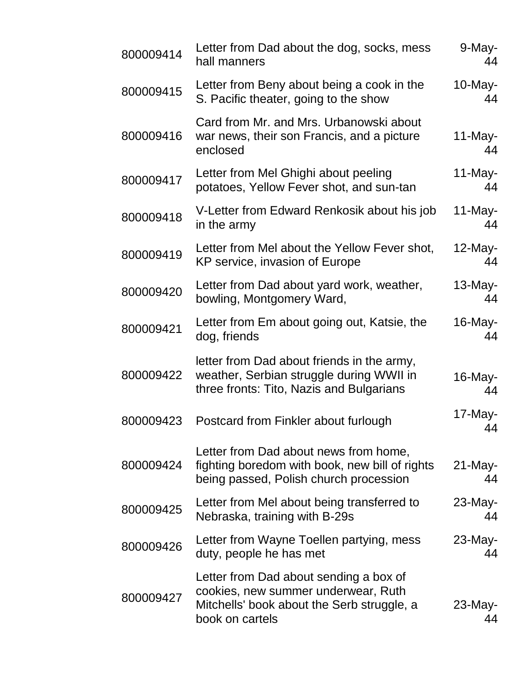| 800009414 | Letter from Dad about the dog, socks, mess<br>hall manners                                                                                     | 9-May-<br>44     |
|-----------|------------------------------------------------------------------------------------------------------------------------------------------------|------------------|
| 800009415 | Letter from Beny about being a cook in the<br>S. Pacific theater, going to the show                                                            | $10$ -May-<br>44 |
| 800009416 | Card from Mr. and Mrs. Urbanowski about<br>war news, their son Francis, and a picture<br>enclosed                                              | $11$ -May-<br>44 |
| 800009417 | Letter from Mel Ghighi about peeling<br>potatoes, Yellow Fever shot, and sun-tan                                                               | $11$ -May-<br>44 |
| 800009418 | V-Letter from Edward Renkosik about his job<br>in the army                                                                                     | $11$ -May-<br>44 |
| 800009419 | Letter from Mel about the Yellow Fever shot,<br>KP service, invasion of Europe                                                                 | $12$ -May-<br>44 |
| 800009420 | Letter from Dad about yard work, weather,<br>bowling, Montgomery Ward,                                                                         | $13$ -May-<br>44 |
| 800009421 | Letter from Em about going out, Katsie, the<br>dog, friends                                                                                    | $16$ -May-<br>44 |
| 800009422 | letter from Dad about friends in the army,<br>weather, Serbian struggle during WWII in<br>three fronts: Tito, Nazis and Bulgarians             | 16-May-<br>44    |
| 800009423 | Postcard from Finkler about furlough                                                                                                           | 17-May-<br>44    |
| 800009424 | Letter from Dad about news from home,<br>fighting boredom with book, new bill of rights<br>being passed, Polish church procession              | $21$ -May-<br>44 |
| 800009425 | Letter from Mel about being transferred to<br>Nebraska, training with B-29s                                                                    | $23$ -May-<br>44 |
| 800009426 | Letter from Wayne Toellen partying, mess<br>duty, people he has met                                                                            | 23-May-<br>44    |
| 800009427 | Letter from Dad about sending a box of<br>cookies, new summer underwear, Ruth<br>Mitchells' book about the Serb struggle, a<br>book on cartels | $23$ -May-<br>44 |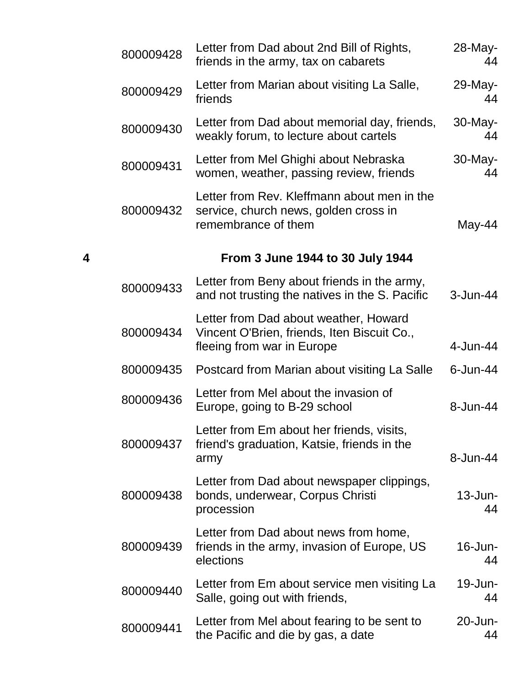|   | 800009428 | Letter from Dad about 2nd Bill of Rights,<br>friends in the army, tax on cabarets                                  | 28-May-<br>44    |
|---|-----------|--------------------------------------------------------------------------------------------------------------------|------------------|
|   | 800009429 | Letter from Marian about visiting La Salle,<br>friends                                                             | 29-May-<br>44    |
|   | 800009430 | Letter from Dad about memorial day, friends,<br>weakly forum, to lecture about cartels                             | 30-May-<br>44    |
|   | 800009431 | Letter from Mel Ghighi about Nebraska<br>women, weather, passing review, friends                                   | 30-May-<br>44    |
|   | 800009432 | Letter from Rev. Kleffmann about men in the<br>service, church news, golden cross in<br>remembrance of them        | May-44           |
| 4 |           | From 3 June 1944 to 30 July 1944                                                                                   |                  |
|   | 800009433 | Letter from Beny about friends in the army,<br>and not trusting the natives in the S. Pacific                      | 3-Jun-44         |
|   | 800009434 | Letter from Dad about weather, Howard<br>Vincent O'Brien, friends, Iten Biscuit Co.,<br>fleeing from war in Europe | 4-Jun-44         |
|   | 800009435 | Postcard from Marian about visiting La Salle                                                                       | 6-Jun-44         |
|   | 800009436 | Letter from Mel about the invasion of<br>Europe, going to B-29 school                                              | 8-Jun-44         |
|   | 800009437 | Letter from Em about her friends, visits,<br>friend's graduation, Katsie, friends in the<br>army                   | 8-Jun-44         |
|   | 800009438 | Letter from Dad about newspaper clippings,<br>bonds, underwear, Corpus Christi<br>procession                       | $13$ -Jun-<br>44 |
|   | 800009439 | Letter from Dad about news from home,<br>friends in the army, invasion of Europe, US<br>elections                  | $16$ -Jun-<br>44 |
|   | 800009440 | Letter from Em about service men visiting La<br>Salle, going out with friends,                                     | $19$ -Jun-<br>44 |
|   | 800009441 | Letter from Mel about fearing to be sent to<br>the Pacific and die by gas, a date                                  | 20-Jun-<br>44    |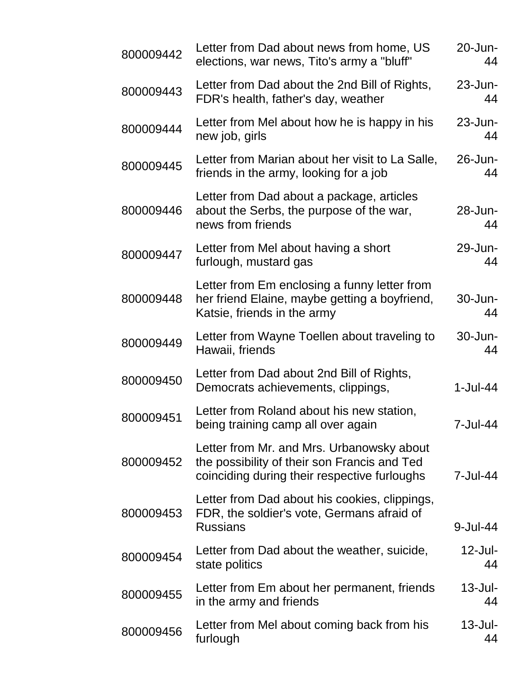| 800009442 | Letter from Dad about news from home, US<br>elections, war news, Tito's army a "bluff"                                                    | 20-Jun-<br>44    |
|-----------|-------------------------------------------------------------------------------------------------------------------------------------------|------------------|
| 800009443 | Letter from Dad about the 2nd Bill of Rights,<br>FDR's health, father's day, weather                                                      | 23-Jun-<br>44    |
| 800009444 | Letter from Mel about how he is happy in his<br>new job, girls                                                                            | 23-Jun-<br>44    |
| 800009445 | Letter from Marian about her visit to La Salle,<br>friends in the army, looking for a job                                                 | 26-Jun-<br>44    |
| 800009446 | Letter from Dad about a package, articles<br>about the Serbs, the purpose of the war,<br>news from friends                                | 28-Jun-<br>44    |
| 800009447 | Letter from Mel about having a short<br>furlough, mustard gas                                                                             | 29-Jun-<br>44    |
| 800009448 | Letter from Em enclosing a funny letter from<br>her friend Elaine, maybe getting a boyfriend,<br>Katsie, friends in the army              | 30-Jun-<br>44    |
| 800009449 | Letter from Wayne Toellen about traveling to<br>Hawaii, friends                                                                           | 30-Jun-<br>44    |
| 800009450 | Letter from Dad about 2nd Bill of Rights,<br>Democrats achievements, clippings,                                                           | $1-Jul-44$       |
| 800009451 | Letter from Roland about his new station,<br>being training camp all over again                                                           | 7-Jul-44         |
| 800009452 | Letter from Mr. and Mrs. Urbanowsky about<br>the possibility of their son Francis and Ted<br>coinciding during their respective furloughs | 7-Jul-44         |
| 800009453 | Letter from Dad about his cookies, clippings,<br>FDR, the soldier's vote, Germans afraid of<br><b>Russians</b>                            | 9-Jul-44         |
| 800009454 | Letter from Dad about the weather, suicide,<br>state politics                                                                             | $12$ -Jul-<br>44 |
| 800009455 | Letter from Em about her permanent, friends<br>in the army and friends                                                                    | $13$ -Jul-<br>44 |
| 800009456 | Letter from Mel about coming back from his<br>furlough                                                                                    | $13$ -Jul-<br>44 |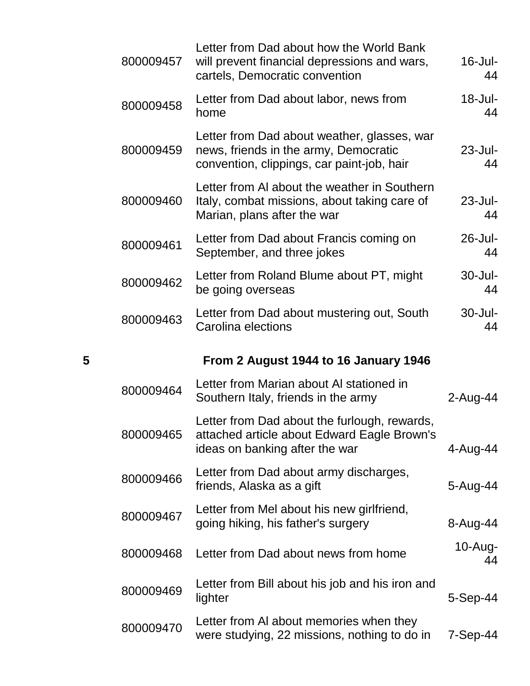|   | 800009457 | Letter from Dad about how the World Bank<br>will prevent financial depressions and wars,<br>cartels, Democratic convention         | $16$ -Jul-<br>44  |
|---|-----------|------------------------------------------------------------------------------------------------------------------------------------|-------------------|
|   | 800009458 | Letter from Dad about labor, news from<br>home                                                                                     | $18 -$ Jul-<br>44 |
|   | 800009459 | Letter from Dad about weather, glasses, war<br>news, friends in the army, Democratic<br>convention, clippings, car paint-job, hair | $23$ -Jul-<br>44  |
|   | 800009460 | Letter from AI about the weather in Southern<br>Italy, combat missions, about taking care of<br>Marian, plans after the war        | $23$ -Jul-<br>44  |
|   | 800009461 | Letter from Dad about Francis coming on<br>September, and three jokes                                                              | 26-Jul-<br>44     |
|   | 800009462 | Letter from Roland Blume about PT, might<br>be going overseas                                                                      | 30-Jul-<br>44     |
|   | 800009463 | Letter from Dad about mustering out, South<br>Carolina elections                                                                   | 30-Jul-<br>44     |
|   |           |                                                                                                                                    |                   |
| 5 |           | From 2 August 1944 to 16 January 1946                                                                                              |                   |
|   | 800009464 | Letter from Marian about AI stationed in<br>Southern Italy, friends in the army                                                    | 2-Aug-44          |
|   | 800009465 | Letter from Dad about the furlough, rewards,<br>attached article about Edward Eagle Brown's<br>ideas on banking after the war      | 4-Aug-44          |
|   | 800009466 | Letter from Dad about army discharges,<br>friends, Alaska as a gift                                                                | 5-Aug-44          |
|   | 800009467 | Letter from Mel about his new girlfriend,<br>going hiking, his father's surgery                                                    | 8-Aug-44          |
|   | 800009468 | Letter from Dad about news from home                                                                                               | $10$ -Aug-<br>44  |
|   | 800009469 | Letter from Bill about his job and his iron and<br>lighter                                                                         | $5-$ Sep $-44$    |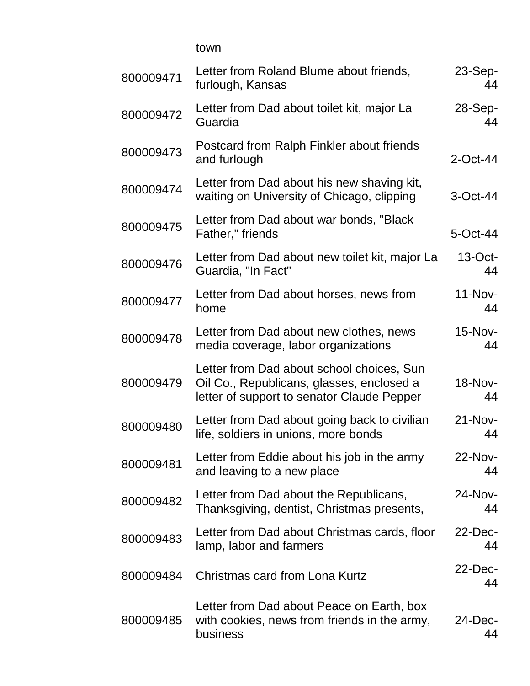town

| 800009471 | Letter from Roland Blume about friends,<br>furlough, Kansas                                                                          | $23-Sep-$<br>44  |
|-----------|--------------------------------------------------------------------------------------------------------------------------------------|------------------|
| 800009472 | Letter from Dad about toilet kit, major La<br>Guardia                                                                                | $28-Sep-$<br>44  |
| 800009473 | Postcard from Ralph Finkler about friends<br>and furlough                                                                            | $2$ -Oct-44      |
| 800009474 | Letter from Dad about his new shaving kit,<br>waiting on University of Chicago, clipping                                             | 3-Oct-44         |
| 800009475 | Letter from Dad about war bonds, "Black"<br>Father," friends                                                                         | 5-Oct-44         |
| 800009476 | Letter from Dad about new toilet kit, major La<br>Guardia, "In Fact"                                                                 | $13$ -Oct-<br>44 |
| 800009477 | Letter from Dad about horses, news from<br>home                                                                                      | $11-Nov-$<br>44  |
| 800009478 | Letter from Dad about new clothes, news<br>media coverage, labor organizations                                                       | 15-Nov-<br>44    |
| 800009479 | Letter from Dad about school choices, Sun<br>Oil Co., Republicans, glasses, enclosed a<br>letter of support to senator Claude Pepper | 18-Nov-<br>44    |
| 800009480 | Letter from Dad about going back to civilian<br>life, soldiers in unions, more bonds                                                 | $21-Nov-$<br>44  |
| 800009481 | Letter from Eddie about his job in the army<br>and leaving to a new place                                                            | 22-Nov-<br>44    |
| 800009482 | Letter from Dad about the Republicans,<br>Thanksgiving, dentist, Christmas presents,                                                 | 24-Nov-<br>44    |
| 800009483 | Letter from Dad about Christmas cards, floor<br>lamp, labor and farmers                                                              | $22$ -Dec-<br>44 |
| 800009484 | Christmas card from Lona Kurtz                                                                                                       | 22-Dec-<br>44    |
| 800009485 | Letter from Dad about Peace on Earth, box<br>with cookies, news from friends in the army,<br>business                                | $24$ -Dec-<br>44 |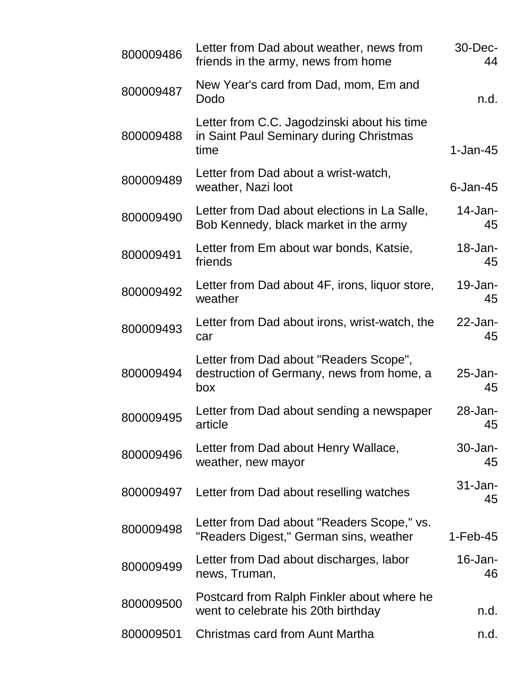| 800009486 | Letter from Dad about weather, news from<br>friends in the army, news from home                | 30-Dec-<br>44     |
|-----------|------------------------------------------------------------------------------------------------|-------------------|
| 800009487 | New Year's card from Dad, mom, Em and<br>Dodo                                                  | n.d.              |
| 800009488 | Letter from C.C. Jagodzinski about his time<br>in Saint Paul Seminary during Christmas<br>time | $1-Jan-45$        |
| 800009489 | Letter from Dad about a wrist-watch,<br>weather, Nazi loot                                     | $6$ -Jan-45       |
| 800009490 | Letter from Dad about elections in La Salle,<br>Bob Kennedy, black market in the army          | $14$ -Jan-<br>45  |
| 800009491 | Letter from Em about war bonds, Katsie,<br>friends                                             | 18-Jan-<br>45     |
| 800009492 | Letter from Dad about 4F, irons, liquor store,<br>weather                                      | 19-Jan-<br>45     |
| 800009493 | Letter from Dad about irons, wrist-watch, the<br>car                                           | $22$ -Jan-<br>45  |
| 800009494 | Letter from Dad about "Readers Scope",<br>destruction of Germany, news from home, a<br>box     | $25$ -Jan-<br>45  |
| 800009495 | Letter from Dad about sending a newspaper<br>article                                           | 28-Jan-<br>45     |
| 800009496 | Letter from Dad about Henry Wallace,<br>weather, new mayor                                     | $30 - Jan-$<br>45 |
| 800009497 | Letter from Dad about reselling watches                                                        | $31 - Jan-$<br>45 |
| 800009498 | Letter from Dad about "Readers Scope," vs.<br>"Readers Digest," German sins, weather           | $1-Feb-45$        |
| 800009499 | Letter from Dad about discharges, labor<br>news, Truman,                                       | 16-Jan-<br>46     |
| 800009500 | Postcard from Ralph Finkler about where he<br>went to celebrate his 20th birthday              | n.d.              |
| 800009501 | Christmas card from Aunt Martha                                                                | n.d.              |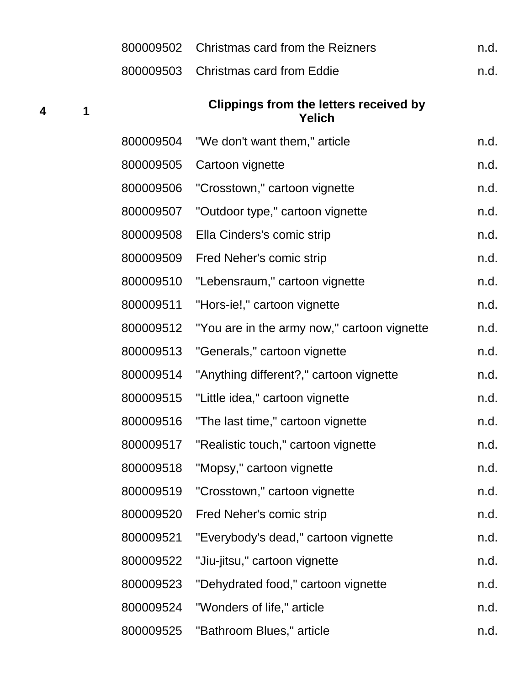|                         |   | 800009502 | Christmas card from the Reizners                               | n.d. |
|-------------------------|---|-----------|----------------------------------------------------------------|------|
|                         |   | 800009503 | <b>Christmas card from Eddie</b>                               | n.d. |
| $\overline{\mathbf{4}}$ | 1 |           | <b>Clippings from the letters received by</b><br><b>Yelich</b> |      |
|                         |   | 800009504 | "We don't want them," article                                  | n.d. |
|                         |   | 800009505 | Cartoon vignette                                               | n.d. |
|                         |   | 800009506 | "Crosstown," cartoon vignette                                  | n.d. |
|                         |   | 800009507 | "Outdoor type," cartoon vignette                               | n.d. |
|                         |   | 800009508 | Ella Cinders's comic strip                                     | n.d. |
|                         |   | 800009509 | Fred Neher's comic strip                                       | n.d. |
|                         |   | 800009510 | "Lebensraum," cartoon vignette                                 | n.d. |
|                         |   | 800009511 | "Hors-ie!," cartoon vignette                                   | n.d. |
|                         |   | 800009512 | "You are in the army now," cartoon vignette                    | n.d. |
|                         |   | 800009513 | "Generals," cartoon vignette                                   | n.d. |
|                         |   | 800009514 | "Anything different?," cartoon vignette                        | n.d. |
|                         |   | 800009515 | "Little idea," cartoon vignette                                | n.d. |
|                         |   | 800009516 | "The last time," cartoon vignette                              | n.d. |
|                         |   | 800009517 | "Realistic touch," cartoon vignette                            | n.d. |
|                         |   | 800009518 | "Mopsy," cartoon vignette                                      | n.d. |
|                         |   | 800009519 | "Crosstown," cartoon vignette                                  | n.d. |
|                         |   | 800009520 | Fred Neher's comic strip                                       | n.d. |
|                         |   | 800009521 | "Everybody's dead," cartoon vignette                           | n.d. |
|                         |   | 800009522 | "Jiu-jitsu," cartoon vignette                                  | n.d. |
|                         |   | 800009523 | "Dehydrated food," cartoon vignette                            | n.d. |
|                         |   | 800009524 | "Wonders of life," article                                     | n.d. |
|                         |   | 800009525 | "Bathroom Blues," article                                      | n.d. |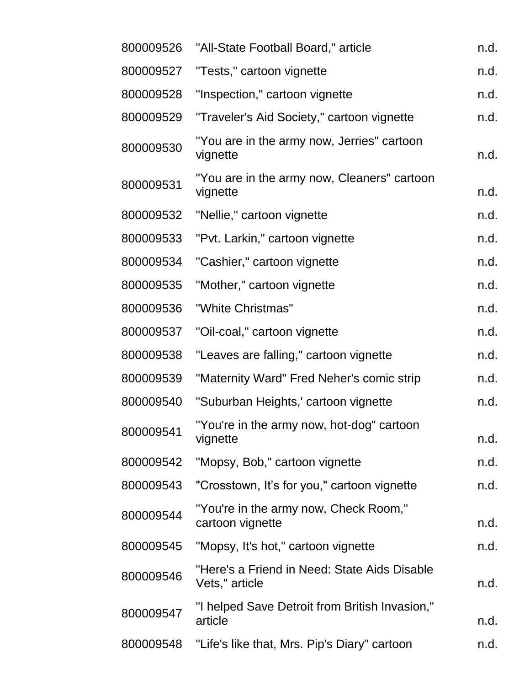| n.d.                                                   |
|--------------------------------------------------------|
|                                                        |
| n.d.                                                   |
| n.d.                                                   |
| n.d.                                                   |
| "You are in the army now, Cleaners" cartoon<br>n.d.    |
| n.d.                                                   |
| n.d.                                                   |
| n.d.                                                   |
| n.d.                                                   |
| n.d.                                                   |
| n.d.                                                   |
| n.d.                                                   |
| n.d.                                                   |
| n.d.                                                   |
| n.d.                                                   |
| n.d.                                                   |
| n.d.                                                   |
| n.d.                                                   |
| n.d.                                                   |
| "Here's a Friend in Need: State Aids Disable<br>n.d.   |
| "I helped Save Detroit from British Invasion,"<br>n.d. |
| n.d.                                                   |
|                                                        |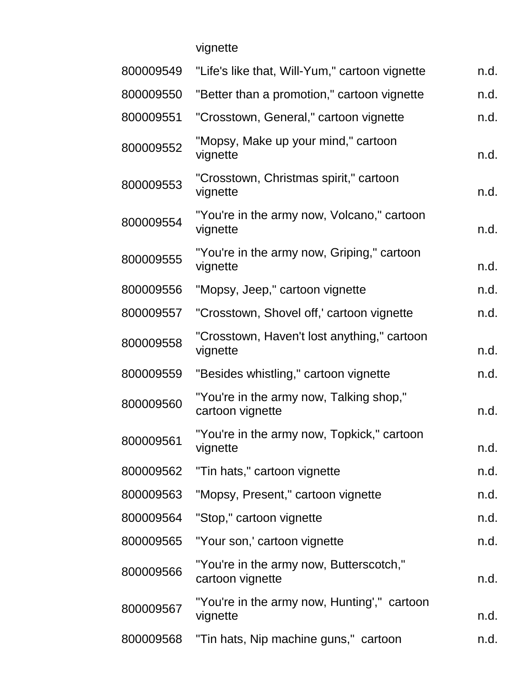vignette

| "Life's like that, Will-Yum," cartoon vignette              | n.d. |
|-------------------------------------------------------------|------|
| "Better than a promotion," cartoon vignette                 | n.d. |
| "Crosstown, General," cartoon vignette                      | n.d. |
| "Mopsy, Make up your mind," cartoon<br>vignette             | n.d. |
| "Crosstown, Christmas spirit," cartoon<br>vignette          | n.d. |
| "You're in the army now, Volcano," cartoon<br>vignette      | n.d. |
| "You're in the army now, Griping," cartoon<br>vignette      | n.d. |
| "Mopsy, Jeep," cartoon vignette                             | n.d. |
| "Crosstown, Shovel off,' cartoon vignette                   | n.d. |
| "Crosstown, Haven't lost anything," cartoon<br>vignette     | n.d. |
| "Besides whistling," cartoon vignette                       | n.d. |
| "You're in the army now, Talking shop,"<br>cartoon vignette | n.d. |
| "You're in the army now, Topkick," cartoon<br>vignette      | n.d. |
| "Tin hats," cartoon vignette                                | n.d. |
| "Mopsy, Present," cartoon vignette                          | n.d. |
| "Stop," cartoon vignette                                    | n.d. |
| "Your son,' cartoon vignette                                | n.d. |
| "You're in the army now, Butterscotch,"<br>cartoon vignette | n.d. |
| "You're in the army now, Hunting'," cartoon<br>vignette     | n.d. |
| "Tin hats, Nip machine guns," cartoon                       | n.d. |
|                                                             |      |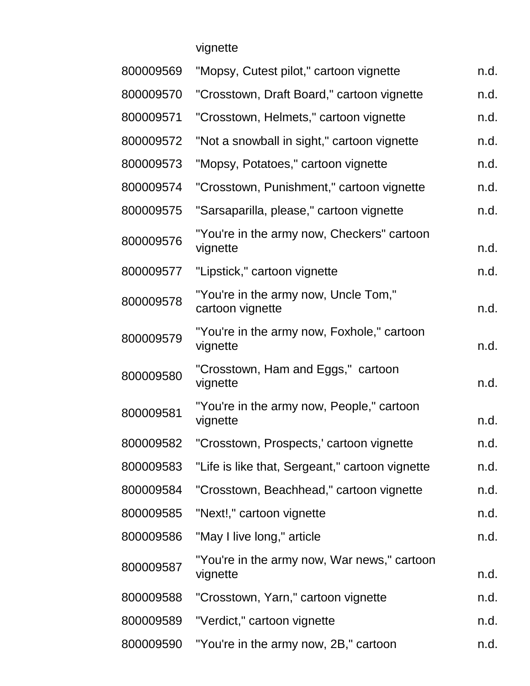vignette

| 800009569 | "Mopsy, Cutest pilot," cartoon vignette                  | n.d. |
|-----------|----------------------------------------------------------|------|
| 800009570 | "Crosstown, Draft Board," cartoon vignette               | n.d. |
| 800009571 | "Crosstown, Helmets," cartoon vignette                   | n.d. |
| 800009572 | "Not a snowball in sight," cartoon vignette              | n.d. |
| 800009573 | "Mopsy, Potatoes," cartoon vignette                      | n.d. |
| 800009574 | "Crosstown, Punishment," cartoon vignette                | n.d. |
| 800009575 | "Sarsaparilla, please," cartoon vignette                 | n.d. |
| 800009576 | "You're in the army now, Checkers" cartoon<br>vignette   | n.d. |
| 800009577 | "Lipstick," cartoon vignette                             | n.d. |
| 800009578 | "You're in the army now, Uncle Tom,"<br>cartoon vignette | n.d. |
| 800009579 | "You're in the army now, Foxhole," cartoon<br>vignette   | n.d. |
| 800009580 | "Crosstown, Ham and Eggs," cartoon<br>vignette           | n.d. |
| 800009581 | "You're in the army now, People," cartoon<br>vignette    | n.d. |
| 800009582 | "Crosstown, Prospects,' cartoon vignette                 | n.d. |
| 800009583 | "Life is like that, Sergeant," cartoon vignette          | n.d. |
| 800009584 | "Crosstown, Beachhead," cartoon vignette                 | n.d. |
| 800009585 | "Next!," cartoon vignette                                | n.d. |
| 800009586 | "May I live long," article                               | n.d. |
| 800009587 | "You're in the army now, War news," cartoon<br>vignette  | n.d. |
| 800009588 | "Crosstown, Yarn," cartoon vignette                      | n.d. |
| 800009589 | "Verdict," cartoon vignette                              | n.d. |
| 800009590 | "You're in the army now, 2B," cartoon                    | n.d. |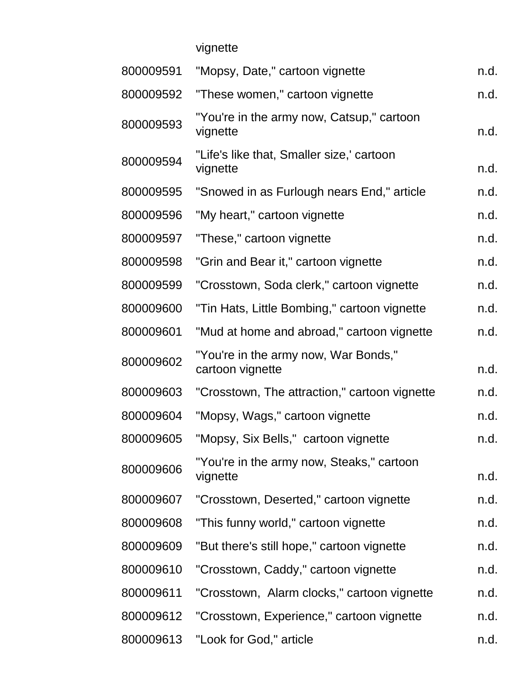vignette

| 800009591 | "Mopsy, Date," cartoon vignette                          | n.d. |
|-----------|----------------------------------------------------------|------|
| 800009592 | "These women," cartoon vignette                          | n.d. |
| 800009593 | "You're in the army now, Catsup," cartoon<br>vignette    | n.d. |
| 800009594 | "Life's like that, Smaller size,' cartoon<br>vignette    | n.d. |
| 800009595 | "Snowed in as Furlough nears End," article               | n.d. |
| 800009596 | "My heart," cartoon vignette                             | n.d. |
| 800009597 | "These," cartoon vignette                                | n.d. |
| 800009598 | "Grin and Bear it," cartoon vignette                     | n.d. |
| 800009599 | "Crosstown, Soda clerk," cartoon vignette                | n.d. |
| 800009600 | "Tin Hats, Little Bombing," cartoon vignette             | n.d. |
| 800009601 | "Mud at home and abroad," cartoon vignette               | n.d. |
| 800009602 | "You're in the army now, War Bonds,"<br>cartoon vignette | n.d. |
| 800009603 | "Crosstown, The attraction," cartoon vignette            | n.d. |
| 800009604 | "Mopsy, Wags," cartoon vignette                          | n.d. |
| 800009605 | "Mopsy, Six Bells," cartoon vignette                     | n.d. |
| 800009606 | "You're in the army now, Steaks," cartoon<br>vignette    | n.d. |
| 800009607 | "Crosstown, Deserted," cartoon vignette                  | n.d. |
| 800009608 | "This funny world," cartoon vignette                     | n.d. |
| 800009609 | "But there's still hope," cartoon vignette               | n.d. |
| 800009610 | "Crosstown, Caddy," cartoon vignette                     | n.d. |
| 800009611 | "Crosstown, Alarm clocks," cartoon vignette              | n.d. |
| 800009612 | "Crosstown, Experience," cartoon vignette                | n.d. |
| 800009613 | "Look for God," article                                  | n.d. |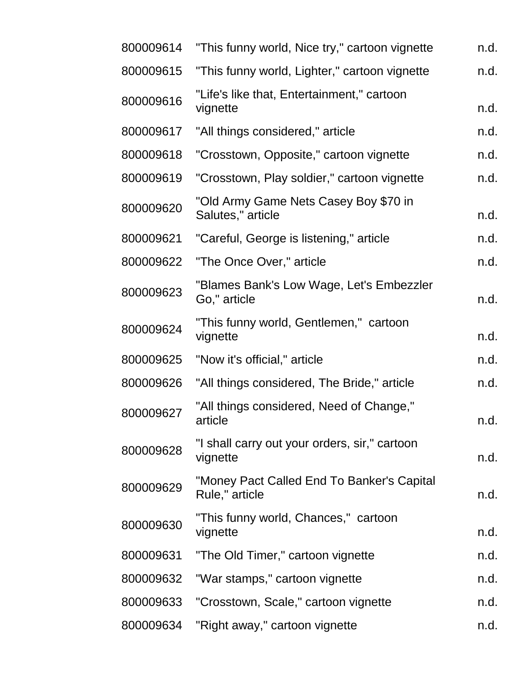| 800009614 | "This funny world, Nice try," cartoon vignette               | n.d. |
|-----------|--------------------------------------------------------------|------|
| 800009615 | "This funny world, Lighter," cartoon vignette                | n.d. |
| 800009616 | "Life's like that, Entertainment," cartoon<br>vignette       | n.d. |
| 800009617 | "All things considered," article                             | n.d. |
| 800009618 | "Crosstown, Opposite," cartoon vignette                      | n.d. |
| 800009619 | "Crosstown, Play soldier," cartoon vignette                  | n.d. |
| 800009620 | "Old Army Game Nets Casey Boy \$70 in<br>Salutes," article   | n.d. |
| 800009621 | "Careful, George is listening," article                      | n.d. |
| 800009622 | "The Once Over," article                                     | n.d. |
| 800009623 | "Blames Bank's Low Wage, Let's Embezzler<br>Go," article     | n.d. |
| 800009624 | "This funny world, Gentlemen," cartoon<br>vignette           | n.d. |
| 800009625 | "Now it's official," article                                 | n.d. |
| 800009626 | "All things considered, The Bride," article                  | n.d. |
| 800009627 | "All things considered, Need of Change,"<br>article          | n.d. |
| 800009628 | "I shall carry out your orders, sir," cartoon<br>vignette    | n.d. |
| 800009629 | "Money Pact Called End To Banker's Capital<br>Rule," article | n.d. |
| 800009630 | "This funny world, Chances," cartoon<br>vignette             | n.d. |
| 800009631 | "The Old Timer," cartoon vignette                            | n.d. |
| 800009632 | "War stamps," cartoon vignette                               | n.d. |
| 800009633 | "Crosstown, Scale," cartoon vignette                         | n.d. |
| 800009634 | "Right away," cartoon vignette                               | n.d. |
|           |                                                              |      |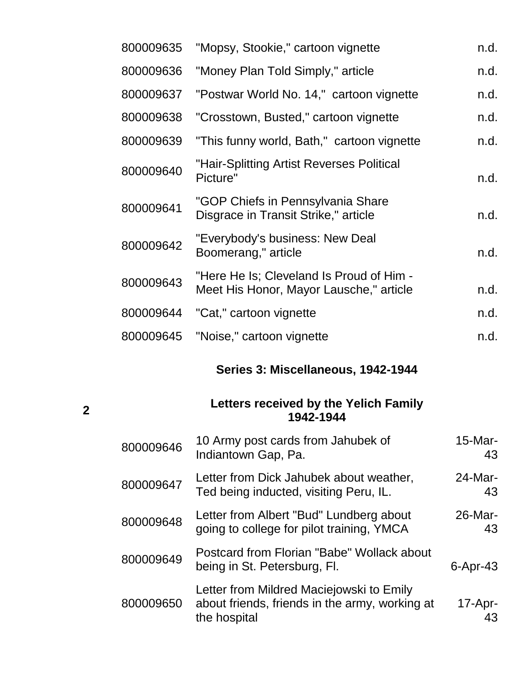| 800009635 | "Mopsy, Stookie," cartoon vignette                                                  | n.d. |
|-----------|-------------------------------------------------------------------------------------|------|
| 800009636 | "Money Plan Told Simply," article                                                   | n.d. |
| 800009637 | "Postwar World No. 14," cartoon vignette                                            | n.d. |
| 800009638 | "Crosstown, Busted," cartoon vignette                                               | n.d. |
| 800009639 | "This funny world, Bath," cartoon vignette                                          | n.d. |
| 800009640 | "Hair-Splitting Artist Reverses Political<br>Picture"                               | n.d. |
| 800009641 | "GOP Chiefs in Pennsylvania Share<br>Disgrace in Transit Strike," article           | n.d. |
| 800009642 | "Everybody's business: New Deal<br>Boomerang," article                              | n.d. |
| 800009643 | "Here He Is; Cleveland Is Proud of Him -<br>Meet His Honor, Mayor Lausche," article | n.d. |
| 800009644 | "Cat," cartoon vignette                                                             | n.d. |
| 800009645 | "Noise," cartoon vignette                                                           | n.d. |
|           |                                                                                     |      |

## **Series 3: Miscellaneous, 1942-1944**

#### **Letters received by the Yelich Family 1942-1944**

**2**

| 800009646 | 10 Army post cards from Jahubek of<br>Indiantown Gap, Pa.                                                  | 15-Mar-<br>43    |
|-----------|------------------------------------------------------------------------------------------------------------|------------------|
| 800009647 | Letter from Dick Jahubek about weather,<br>Ted being inducted, visiting Peru, IL.                          | $24$ -Mar-<br>43 |
| 800009648 | Letter from Albert "Bud" Lundberg about<br>going to college for pilot training, YMCA                       | $26$ -Mar-<br>43 |
| 800009649 | Postcard from Florian "Babe" Wollack about<br>being in St. Petersburg, Fl.                                 | $6 -$ Apr $-43$  |
| 800009650 | Letter from Mildred Maciejowski to Emily<br>about friends, friends in the army, working at<br>the hospital | $17-Apr-$<br>43  |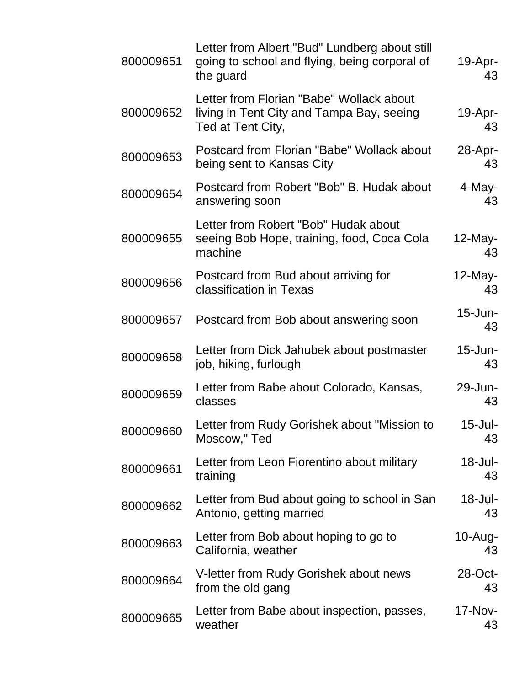| 800009651 | Letter from Albert "Bud" Lundberg about still<br>going to school and flying, being corporal of<br>the guard | $19$ -Apr-<br>43     |
|-----------|-------------------------------------------------------------------------------------------------------------|----------------------|
| 800009652 | Letter from Florian "Babe" Wollack about<br>living in Tent City and Tampa Bay, seeing<br>Ted at Tent City,  | $19-Apr-$<br>43      |
| 800009653 | Postcard from Florian "Babe" Wollack about<br>being sent to Kansas City                                     | $28$ -Apr-<br>43     |
| 800009654 | Postcard from Robert "Bob" B. Hudak about<br>answering soon                                                 | 4-May-<br>43         |
| 800009655 | Letter from Robert "Bob" Hudak about<br>seeing Bob Hope, training, food, Coca Cola<br>machine               | $12$ -May-<br>43     |
| 800009656 | Postcard from Bud about arriving for<br>classification in Texas                                             | $12$ -May-<br>43     |
| 800009657 | Postcard from Bob about answering soon                                                                      | 15-Jun-<br>43        |
| 800009658 | Letter from Dick Jahubek about postmaster<br>job, hiking, furlough                                          | $15$ -Jun-<br>43     |
| 800009659 | Letter from Babe about Colorado, Kansas,<br>classes                                                         | 29-Jun-<br>43        |
| 800009660 | Letter from Rudy Gorishek about "Mission to<br>Moscow," Ted                                                 | $15$ -Jul-<br>43     |
| 800009661 | Letter from Leon Fiorentino about military<br>training                                                      | $18 -$ Jul-<br>43    |
| 800009662 | Letter from Bud about going to school in San<br>Antonio, getting married                                    | 18-Jul-<br>43        |
| 800009663 | Letter from Bob about hoping to go to<br>California, weather                                                | $10-Aug-$<br>43      |
| 800009664 | V-letter from Rudy Gorishek about news<br>from the old gang                                                 | $28$ -Oct-<br>43     |
| 800009665 | Letter from Babe about inspection, passes,<br>weather                                                       | <b>17-Nov-</b><br>43 |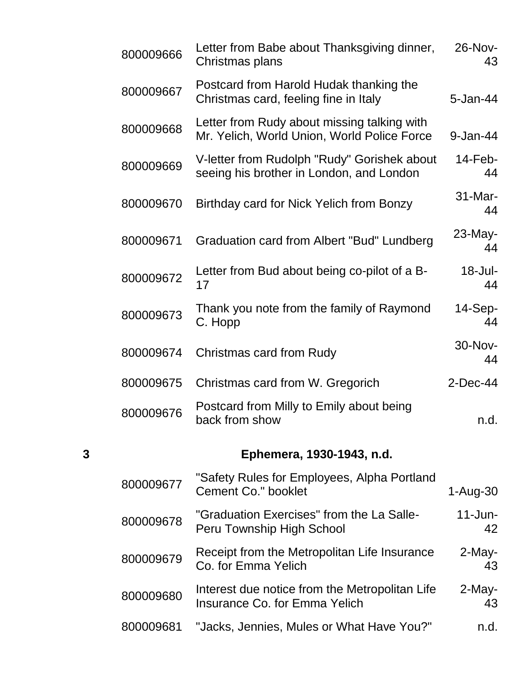|   | 800009666 | Letter from Babe about Thanksgiving dinner,<br>Christmas plans                             | 26-Nov-<br>43    |
|---|-----------|--------------------------------------------------------------------------------------------|------------------|
|   | 800009667 | Postcard from Harold Hudak thanking the<br>Christmas card, feeling fine in Italy           | 5-Jan-44         |
|   | 800009668 | Letter from Rudy about missing talking with<br>Mr. Yelich, World Union, World Police Force | 9-Jan-44         |
|   | 800009669 | V-letter from Rudolph "Rudy" Gorishek about<br>seeing his brother in London, and London    | $14$ -Feb-<br>44 |
|   | 800009670 | Birthday card for Nick Yelich from Bonzy                                                   | 31-Mar-<br>44    |
|   | 800009671 | Graduation card from Albert "Bud" Lundberg                                                 | 23-May-<br>44    |
|   | 800009672 | Letter from Bud about being co-pilot of a B-<br>17                                         | 18-Jul-<br>44    |
|   | 800009673 | Thank you note from the family of Raymond<br>C. Hopp                                       | 14-Sep-<br>44    |
|   | 800009674 | Christmas card from Rudy                                                                   | 30-Nov-<br>44    |
|   | 800009675 | Christmas card from W. Gregorich                                                           | $2$ -Dec-44      |
|   | 800009676 | Postcard from Milly to Emily about being<br>back from show                                 | n.d.             |
| 3 |           | Ephemera, 1930-1943, n.d.                                                                  |                  |
|   | 800009677 | "Safety Rules for Employees, Alpha Portland<br><b>Cement Co." booklet</b>                  | 1-Aug-30         |
|   | 800009678 | "Graduation Exercises" from the La Salle-<br>Peru Township High School                     | $11$ -Jun-<br>42 |
|   | 800009679 | Receipt from the Metropolitan Life Insurance<br>Co. for Emma Yelich                        | 2-May-<br>43     |
|   | 800009680 | Interest due notice from the Metropolitan Life<br><b>Insurance Co. for Emma Yelich</b>     | 2-May-<br>43     |
|   | 800009681 | "Jacks, Jennies, Mules or What Have You?"                                                  | n.d.             |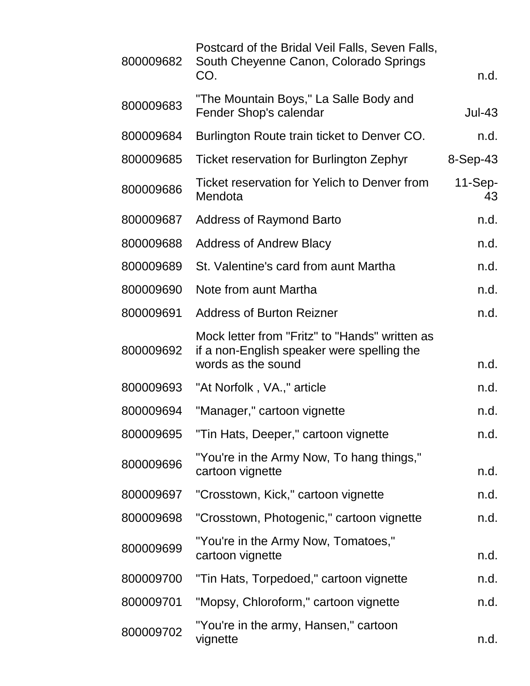| 800009682 | Postcard of the Bridal Veil Falls, Seven Falls,<br>South Cheyenne Canon, Colorado Springs<br>CO.                   | n.d.            |
|-----------|--------------------------------------------------------------------------------------------------------------------|-----------------|
| 800009683 | "The Mountain Boys," La Salle Body and<br>Fender Shop's calendar                                                   | <b>Jul-43</b>   |
| 800009684 | Burlington Route train ticket to Denver CO.                                                                        | n.d.            |
| 800009685 | <b>Ticket reservation for Burlington Zephyr</b>                                                                    | $8-Sep-43$      |
| 800009686 | Ticket reservation for Yelich to Denver from<br>Mendota                                                            | $11-Sep-$<br>43 |
| 800009687 | <b>Address of Raymond Barto</b>                                                                                    | n.d.            |
| 800009688 | <b>Address of Andrew Blacy</b>                                                                                     | n.d.            |
| 800009689 | St. Valentine's card from aunt Martha                                                                              | n.d.            |
| 800009690 | Note from aunt Martha                                                                                              | n.d.            |
| 800009691 | <b>Address of Burton Reizner</b>                                                                                   | n.d.            |
| 800009692 | Mock letter from "Fritz" to "Hands" written as<br>if a non-English speaker were spelling the<br>words as the sound | n.d.            |
| 800009693 | "At Norfolk, VA.," article                                                                                         | n.d.            |
| 800009694 | "Manager," cartoon vignette                                                                                        | n.d.            |
| 800009695 | "Tin Hats, Deeper," cartoon vignette                                                                               | n.d.            |
| 800009696 | "You're in the Army Now, To hang things,"<br>cartoon vignette                                                      | n.d.            |
| 800009697 | "Crosstown, Kick," cartoon vignette                                                                                | n.d.            |
| 800009698 | "Crosstown, Photogenic," cartoon vignette                                                                          | n.d.            |
| 800009699 | "You're in the Army Now, Tomatoes,"<br>cartoon vignette                                                            | n.d.            |
| 800009700 | "Tin Hats, Torpedoed," cartoon vignette                                                                            | n.d.            |
| 800009701 | "Mopsy, Chloroform," cartoon vignette                                                                              | n.d.            |
| 800009702 | "You're in the army, Hansen," cartoon<br>vignette                                                                  | n.d.            |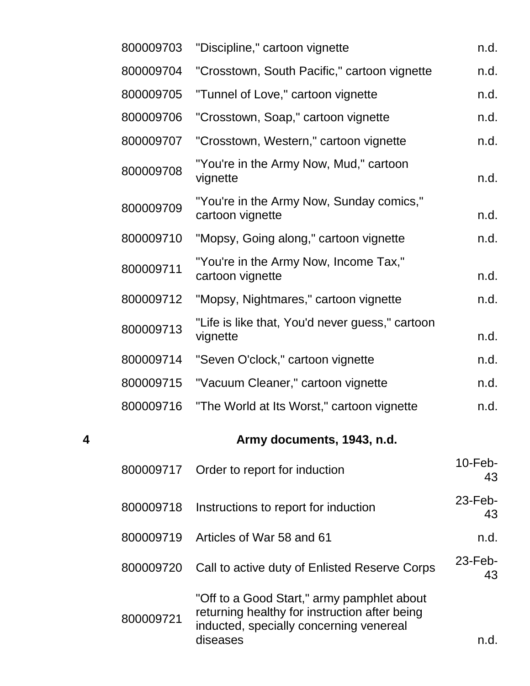|   | 800009703 | "Discipline," cartoon vignette                                                                                                                     | n.d.             |
|---|-----------|----------------------------------------------------------------------------------------------------------------------------------------------------|------------------|
|   | 800009704 | "Crosstown, South Pacific," cartoon vignette                                                                                                       | n.d.             |
|   | 800009705 | "Tunnel of Love," cartoon vignette                                                                                                                 | n.d.             |
|   | 800009706 | "Crosstown, Soap," cartoon vignette                                                                                                                | n.d.             |
|   | 800009707 | "Crosstown, Western," cartoon vignette                                                                                                             | n.d.             |
|   | 800009708 | "You're in the Army Now, Mud," cartoon<br>vignette                                                                                                 | n.d.             |
|   | 800009709 | "You're in the Army Now, Sunday comics,"<br>cartoon vignette                                                                                       | n.d.             |
|   | 800009710 | "Mopsy, Going along," cartoon vignette                                                                                                             | n.d.             |
|   | 800009711 | "You're in the Army Now, Income Tax,"<br>cartoon vignette                                                                                          | n.d.             |
|   | 800009712 | "Mopsy, Nightmares," cartoon vignette                                                                                                              | n.d.             |
|   | 800009713 | "Life is like that, You'd never guess," cartoon<br>vignette                                                                                        | n.d.             |
|   | 800009714 | "Seven O'clock," cartoon vignette                                                                                                                  | n.d.             |
|   | 800009715 | "Vacuum Cleaner," cartoon vignette                                                                                                                 | n.d.             |
|   | 800009716 | "The World at Its Worst," cartoon vignette                                                                                                         | n.d.             |
| 4 |           | Army documents, 1943, n.d.                                                                                                                         |                  |
|   | 800009717 | Order to report for induction                                                                                                                      | $10$ -Feb-<br>43 |
|   | 800009718 | Instructions to report for induction                                                                                                               | $23$ -Feb-<br>43 |
|   | 800009719 | Articles of War 58 and 61                                                                                                                          | n.d.             |
|   | 800009720 | Call to active duty of Enlisted Reserve Corps                                                                                                      | $23$ -Feb-<br>43 |
|   | 800009721 | "Off to a Good Start," army pamphlet about<br>returning healthy for instruction after being<br>inducted, specially concerning venereal<br>diseases | n.d.             |